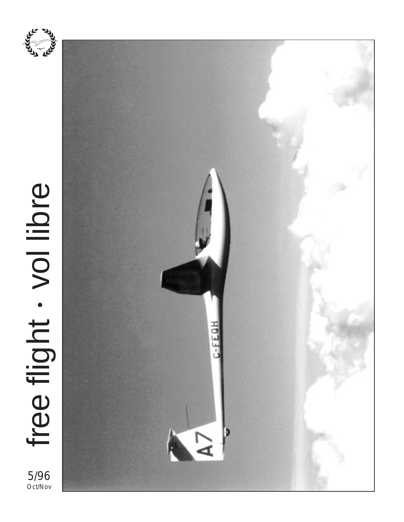

# free flight . vol libre free flight vol libre •

5/96 Oct/Nov

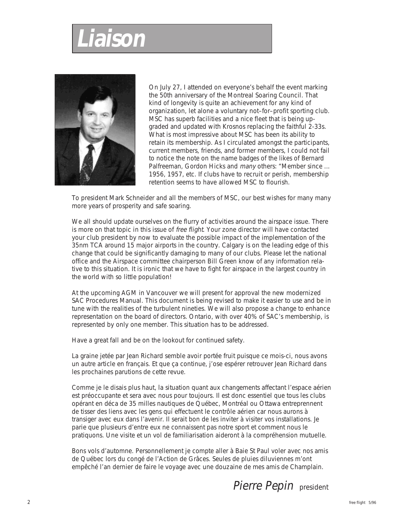# **Liaison**



On July 27, I attended on everyone's behalf the event marking the 50th anniversary of the Montreal Soaring Council. That kind of longevity is quite an achievement for any kind of organization, let alone a voluntary not–for–profit sporting club. MSC has superb facilities and a nice fleet that is being upgraded and updated with Krosnos replacing the faithful 2-33s. What is most impressive about MSC has been its ability to retain its membership. As I circulated amongst the participants, current members, friends, and former members, I could not fail to notice the note on the name badges of the likes of Bernard Palfreeman, Gordon Hicks and many others: "Member since ... 1956, 1957, etc. If clubs have to recruit or perish, membership retention seems to have allowed MSC to flourish.

To president Mark Schneider and all the members of MSC, our best wishes for many many more years of prosperity and safe soaring.

We all should update ourselves on the flurry of activities around the airspace issue. There is more on that topic in this issue of free flight. Your zone director will have contacted your club president by now to evaluate the possible impact of the implementation of the 35nm TCA around 15 major airports in the country. Calgary is on the leading edge of this change that could be significantly damaging to many of our clubs. Please let the national office and the Airspace committee chairperson Bill Green know of any information relative to this situation. It is ironic that we have to fight for airspace in the largest country in the world with so little population!

At the upcoming AGM in Vancouver we will present for approval the new modernized SAC Procedures Manual. This document is being revised to make it easier to use and be in tune with the realities of the turbulent nineties. We will also propose a change to enhance representation on the board of directors. Ontario, with over 40% of SAC's membership, is represented by only one member. This situation has to be addressed.

Have a great fall and be on the lookout for continued safety.

La graine jetée par Jean Richard semble avoir portée fruit puisque ce mois-ci, nous avons un autre article en français. Et que ça continue, j'ose espérer retrouver Jean Richard dans les prochaines parutions de cette revue.

Comme je le disais plus haut, la situation quant aux changements affectant l'espace aérien est préoccupante et sera avec nous pour toujours. Il est donc essentiel que tous les clubs opérant en déca de 35 milles nautiques de Québec, Montréal ou Ottawa entreprennent de tisser des liens avec les gens qui effectuent le contrôle aérien car nous aurons à transiger avec eux dans l'avenir. Il serait bon de les inviter à visiter vos installations. Je parie que plusieurs d'entre eux ne connaissent pas notre sport et comment nous le pratiquons. Une visite et un vol de familiarisation aideront à la compréhension mutuelle.

Bons vols d'automne. Personnellement je compte aller à Baie St Paul voler avec nos amis de Québec lors du congé de l'Action de Grâces. Seules de pluies diluviennes m'ont empêché l'an dernier de faire le voyage avec une douzaine de mes amis de Champlain.

Pierre Pepin president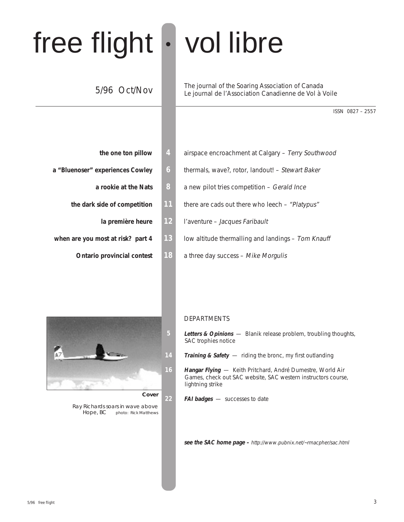# free flight • vol libre

## 5/96 Oct/Nov

The journal of the Soaring Association of Canada Le journal de l'Association Canadienne de Vol à Voile

ISSN 0827 – 2557

| 4  | the one ton pillow                |
|----|-----------------------------------|
| 6  | a "Bluenoser" experiences Cowley  |
| 8  | a rookie at the Nats              |
| 11 | the dark side of competition      |
| 12 | la première heure                 |
| 13 | when are you most at risk? part 4 |
|    | <b>Ontario provincial contest</b> |

| the one ton pillow                | 4              | airspace encroachment at Calgary - Terry Southwood |
|-----------------------------------|----------------|----------------------------------------------------|
| a "Bluenoser" experiences Cowley  | $\overline{6}$ | thermals, wave?, rotor, landout! – Stewart Baker   |
| a rookie at the Nats              | 8              | a new pilot tries competition – Gerald Ince        |
| the dark side of competition      | 11             | there are cads out there who leech $-$ "Platypus"  |
| la première heure                 | 12             | l'aventure - Jacques Faribault                     |
| when are you most at risk? part 4 | 13             | low altitude thermalling and landings – Tom Knauff |
| <b>Ontario provincial contest</b> | 18             | a three day success - Mike Morgulis                |
|                                   |                |                                                    |

#### DEPARTMENTS

- **5 Letters & Opinions**  Blanik release problem, troubling thoughts, SAC trophies notice
- **14 Training & Safety** riding the bronc, my first outlanding
- **16 Hangar Flying**  Keith Pritchard, André Dumestre, World Air Games, check out SAC website, SAC western instructors course, lightning strike
- **22 FAI badges**  successes to date

**see the SAC home page –** http://www.pubnix.net/~rmacpher/sac.html



**Cover**

Ray Richards soars in wave above Hope, BC photo: Rick Matthews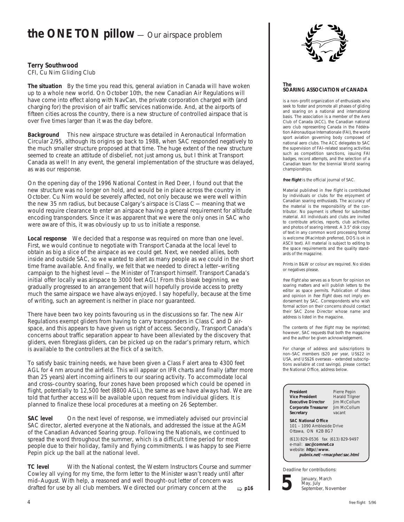## **the ONE TON pillow** — Our airspace problem

## **Terry Southwood**

CFI, Cu Nim Gliding Club

**The situation** By the time you read this, general aviation in Canada will have woken up to a whole new world. On October 10th, the new Canadian Air Regulations will have come into effect along with NavCan, the private corporation charged with (and charging for) the provision of air traffic services nationwide. And, at the airports of fifteen cities across the country, there is a new structure of controlled airspace that is over five times larger than it was the day before.

**Background** This new airspace structure was detailed in Aeronautical Information Circular 2/95, although its origins go back to 1988, when SAC responded negatively to the much smaller structure proposed at that time. The huge extent of the new structure seemed to create an attitude of disbelief, not just among us, but I think at Transport Canada as well! In any event, the general implementation of the structure was delayed, as was our response.

On the opening day of the 1996 National Contest in Red Deer, I found out that the new structure was no longer on hold, and would be in place across the country in October. Cu Nim would be severely affected, not only because we were well within the new 35 nm radius, but because Calgary's airspace is Class C — meaning that we would require clearance to enter an airspace having a general requirement for altitude encoding transponders. Since it was apparent that we were the only ones in SAC who were aware of this, it was obviously up to us to initiate a response.

**Local response** We decided that a response was required on more than one level. First, we would continue to negotiate with Transport Canada at the local level to obtain as big a slice of the airspace as we could get. Next, we needed allies, both inside and outside SAC, so we wanted to alert as many people as we could in the short time frame available. And finally, we felt that we needed to direct a letter–writing campaign to the highest level — the Minister of Transport himself. Transport Canada's initial offer locally was airspace to 3000 feet AGL! From this bleak beginning, we gradually progressed to an arrangement that will hopefully provide access to pretty much the same airspace we have always enjoyed. I say hopefully, because at the time of writing, such an agreement is neither in place nor guaranteed.

There have been two key points favouring us in the discussions so far. The new Air Regulations exempt gliders from having to carry transponders in Class C and D airspace, and this appears to have given us right of access. Secondly, Transport Canada's concerns about traffic separation appear to have been alleviated by the discovery that gliders, even fibreglass gliders, can be picked up on the radar's primary return, which is available to the controllers at the flick of a switch.

To satisfy basic training needs, we have been given a Class F alert area to 4300 feet AGL for 4 nm around the airfield. This will appear on IFR charts and finally (after more than 25 years) alert incoming airliners to our soaring activity. To accommodate local and cross–country soaring, four zones have been proposed which could be opened in flight, potentially to 12,500 feet (8800 AGL), the same as we have always had. We are told that further access will be available upon request from individual gliders. It is planned to finalize these local procedures at a meeting on 26 September.

**SAC level** On the next level of response, we immediately advised our provincial SAC director, alerted everyone at the Nationals, and addressed the issue at the AGM of the Canadian Advanced Soaring group. Following the Nationals, we continued to spread the word throughout the summer, which is a difficult time period for most people due to their holiday, family and flying commitments. I was happy to see Pierre Pepin pick up the ball at the national level.

➯ **p16 TC level** With the National contest, the Western Instructors Course and summer Cowley all vying for my time, the form letter to the Minister wasn't ready until after mid–August. With help, a reasoned and well thought–out letter of concern was drafted for use by all club members. We directed our primary concern at the



#### **The SOARING ASSOCIATION of CANADA**

is a non–profit organization of enthusiasts who seek to foster and promote all phases of gliding and soaring on a national and international basis. The association is a member of the Aero Club of Canada (ACC), the Canadian national aero club representing Canada in the Fédération Aéronautique Internationale (FAI), the world sport aviation governing body composed of national aero clubs. The ACC delegates to SAC the supervision of FAI–related soaring activities such as competition sanctions, issuing FAI badges, record attempts, and the selection of a Canadian team for the biennial World soaring championships.

**free flight** is the official journal of SAC.

Material published in free flight is contributed by individuals or clubs for the enjoyment of Canadian soaring enthusiasts. The accuracy of the material is the responsibility of the contributor. No payment is offered for submitted material. All individuals and clubs are invited to contribute articles, reports, club activities, and photos of soaring interest. A 3.5" disk copy of text in any common word processing format is welcome (Macintosh preferred, DOS is ok in ASCII text). All material is subject to editing to the space requirements and the quality standards of the magazine.

Prints in B&W or colour are required. No slides or negatives please.

free flight also serves as a forum for opinion on soaring matters and will publish letters to the editor as space permits. Publication of ideas and opinion in free flight does not imply endorsement by SAC. Correspondents who wish formal action on their concerns should contact their SAC Zone Director whose name and address is listed in the magazine.

The contents of free flight may be reprinted; however, SAC requests that both the magazine and the author be given acknowledgement.

For change of address and subscriptions to non–SAC members (\$20 per year, US\$22 in USA, and US\$26 overseas – extended subscriptions available at cost savings), please contact the National Office, address below.

| Pierre Pepin<br>Harald Tilgner<br>lim McCollum<br>lim McCollum<br>vacant                    |  |  |  |  |
|---------------------------------------------------------------------------------------------|--|--|--|--|
| <b>SAC National Office</b><br>101 - 1090 Ambleside Drive<br>Ottawa, ON K2B 8G7              |  |  |  |  |
| (613) 829-0536 fax (613) 829-9497<br>e-mail: sac@comnet.ca<br>pubnix.net/~rmacpher/sac.html |  |  |  |  |
|                                                                                             |  |  |  |  |

Deadline for contributions:



January, March May, July September, November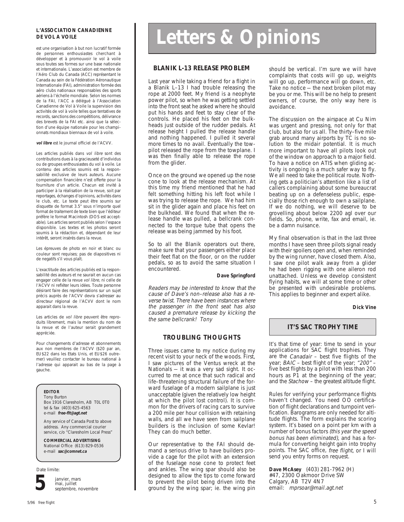#### **L'ASSOCIATION CANADIENNE DE VOL A VOILE**

est une organisation à but non lucratif formée de personnes enthousiastes cherchant à développer et à promouvoir le vol à voile sous toutes ses formes sur une base nationale et internationale. L'association est membre de l'Aéro Club du Canada (ACC) représentant le Canada au sein de la Fédération Aéronautique Internationale (FAI), administration formée des aéro clubs nationaux responsables des sports aériens à l'échelle mondiale. Selon les normes de la FAI, l'ACC a délégué à l'Association Canadienne de Vol à Voile la supervision des activités de vol à voile telles que tentatives de records, sanctions des compétitions, délivrance des brevets de la FAI etc. ainsi que la sélection d'une équipe nationale pour les championnats mondiaux biennaux de vol à voile.

#### **vol libre** est le journal officiel de l'ACVV.

Les articles publiés dans vol libre sont des contributions dues à la gracieuseté d'individus ou de groupes enthousiastes du vol à voile. Le contenu des articles soumis est la responsabilité exclusive de leurs auteurs. Aucune compensation financière n'est offerte pour la fourniture d'un article. Chacun est invité à participer à la réalisation de la revue, soit par reportages, échanges d'opinions, activités dans le club, etc. Le texte peut être soumis sur disquette de format 3.5" sous n'importe quel format de traitement de texte bien que l'éditeur préfère le format Macintosh (DOS est acceptable). Les articles seront publiés selon l'espace disponible. Les textes et les photos seront soumis à la rédaction et, dépendant de leur intérêt, seront insérés dans la revue.

Les épreuves de photo en noir et blanc ou couleur sont requises; pas de diapositives ni de negatifs s'il vous plaît.

L'exactitude des articles publiés est la responsabilité des auteurs et ne saurait en aucun cas engager celle de la revue vol libre, ni celle de l'ACVV ni refléter leurs idées. Toute personne désirant faire des représentations sur un sujet précis auprès de l'ACVV devra s'adresser au directeur régional de l'ACVV dont le nom apparait dans la revue.

Les articles de vol libre peuvent être reproduits librement, mais la mention du nom de la revue et de l'auteur serait grandement appréciée.

Pour changements d'adresse et abonnements aux non membres de l'ACVV (\$20 par an, EU\$22 dans les Etats Unis, et EU\$26 outre– mer) veuillez contacter le bureau national à l'adresse qui apparait au bas de la page à gauche.

#### **EDITOR**

Tony Burton Box 1916 Claresholm, AB T0L 0T0 tel & fax (403) 625-4563 e-mail **free-flt@agt.net**

Any service of Canada Post to above address. Any commercial courier service, c/o "Claresholm Local Press"

**COMMERCIAL ADVERTISING** National Office (613) 829-0536 e-mail **sac@comnet.ca**

Date limite:



janvier, mars mai, juillet septembre, novembre

# **Letters & Opinions**

#### **BLANIK L-13 RELEASE PROBLEM**

Last year while taking a friend for a flight in a Blanik L–13 I had trouble releasing the rope at 2000 feet. My friend is a neophyte power pilot, so when he was getting settled into the front seat he asked where he should put his hands and feet to stay clear of the controls. He placed his feet on the bulkheads just outside of the rudder pedals. At release height I pulled the release handle and nothing happened. I pulled it several more times to no avail. Eventually the towpilot released the rope from the towplane. I was then finally able to release the rope from the glider.

Once on the ground we opened up the nose cone to look at the release mechanism. At this time my friend mentioned that he had felt something hitting his left foot while I was trying to release the rope. We had him sit in the glider again and place his feet on the bulkhead. We found that when the release handle was pulled, a bellcrank connected to the torque tube that opens the release was being jammed by his foot.

So to all the Blanik operators out there, make sure that your passengers either place their feet flat on the floor, or on the rudder pedals, so as to avoid the same situation I encountered.

#### **Dave Springford**

Readers may be interested to know that the cause of Dave's non–release also has a reverse twist. There have been instances where the passenger in the front seat has also caused a premature release by kicking the the same bellcrank! Tony

#### **TROUBLING THOUGHTS**

Three issues came to my notice during my recent visit to your neck of the woods. First, I saw pictures of the Ventus wreck at the Nationals — it was a very sad sight. It occurred to me at once that such radical and life–threatening structural failure of the forward fuselage of a modern sailplane is just unacceptable (given the relatively low height at which the pilot lost control). It is common for the drivers of racing cars to survive a 200 mile per hour collision with retaining walls, and alI we have seen from sailplane builders is the inclusion of some Kevlar! They can do much better.

Our representative to the FAI should demand a serious drive to have builders provide a cage for the pilot with an extension of the fuselage nose cone to protect feet and ankles. The wing spar should also be designed to allow the tips to come forward to prevent the pilot being driven into the ground by the wing spar; ie. the wing pin

should be vertical. I'm sure we will have complaints that costs will go up, weights will go up, performance will go down, etc. Take no notice — the next broken pilot may be you or me. This will be no help to present owners, of course, the only way here is avoidance.

The discussion on the airspace at Cu Nim was urgent and pressing, not only for that club, but also for us all. The thirty–five mile grab around many airports by TC is no solution to the midair potential. It is much more important to have all pilots look out of the window on approach to a major field. To have a notice on ATIS when gliding activity is ongoing is a much safer way to fly. We all need to take the political route. Nothing gets a politician's attention like a list of callers complaining about some bureaucrat beating up on a defenseless public, especially those rich enough to own a sailplane. If we do nothing, we will deserve to be grovelling about below 2200 agl over our fields. So, phone, write, fax and email, ie. be a damn nuisance.

My final observation is that in the last three months I have seen three pilots signal ready with their spoilers open and, when reminded by the wing runner, have closed them. Also, I saw one pilot walk away from a glider he had been rigging with one aileron rod unattached. Unless we develop consistent flying habits, we will at some time or other be presented with undesirable problems. This applies to beginner and expert alike.

#### **Dick Vine**

#### **IT'S SAC TROPHY TIME**

It's that time of year: time to send in your applications for SAC flight trophies. They are the Canadair – best five flights of the year; BAIC - best flight of the year; "200" five best flights by a pilot with less than 200 hours as P1 at the beginning of the year; and the Stachow - the greatest altitude flight.

Rules for verifying your performance flights haven't changed. You need OO certification of flight declarations and turnpoint verification. Barograms are only needed for altitude flights. The form explains the scoring system. It's based on a point per km with a number of bonus factors (this year the speed bonus has been eliminated), and has a formula for converting height gain into trophy points. The SAC office, free flight, or I will send you entry forms on request.

**Dave McAsey** (403) 281-7962 (H) #47, 2300 Oakmoor Drive SW Calgary, AB T2V 4N7 email: mprsoar@mail.agt.net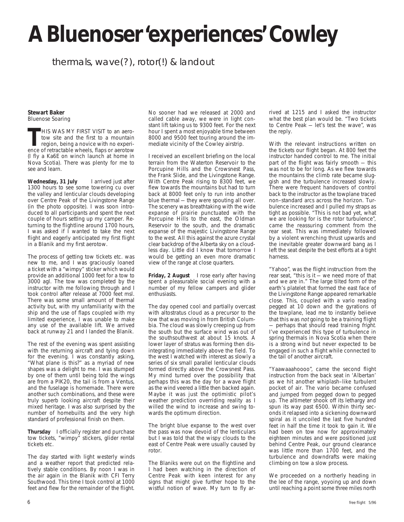# **A Bluenoser 'experiences' Cowley**

## thermals, wave(?), rotor(!) & landout

#### **Stewart Baker** Bluenose Soaring

**THIS WAS MY FIRST VISIT to an aero-<br>tow site and the first to a mountain<br>region, being a novice with no experi-<br>ence of retractable wheels. flaps or aerotow** tow site and the first to a mountain region, being a novice with no experience of retractable wheels, flaps or aerotow (I fly a Ka6E on winch launch at home in Nova Scotia). There was plenty for me to see and learn.

Wednesday, 31 July larrived just after 1300 hours to see some towering cu over the valley and lenticular clouds developing over Centre Peak of the Livingstone Range (in the photo opposite). I was soon introduced to all participants and spent the next couple of hours setting up my camper. Returning to the flightline around 1700 hours, I was asked if I wanted to take the next flight and eagerly anticipated my first flight in a Blanik and my first aerotow.

The process of getting tow tickets etc. was new to me, and I was graciously loaned a ticket with a "wimpy" sticker which would provide an additional 1000 feet for a tow to 3000 agl. The tow was completed by the instructor with me following through and I took control after release at 7000 feet msl. There was some small amount of thermal activity but, with my unfamiliarity with the ship and the use of flaps coupled with my limited experience, I was unable to make any use of the available lift. We arrived back at runway 21 and I landed the Blanik.

The rest of the evening was spent assisting with the returning aircraft and tying down for the evening. I was constantly asking, "What plane is this?" as a myriad of new shapes was a delight to me. I was stumped by one of them until being told the wings are from a PIK20, the tail is from a Ventus, and the fuselage is homemade. There were another such combinations, and these were truly superb looking aircraft despite their mixed heritage. I was also surprised by the number of homebuilts and the very high standard of professional finish on them.

**Thursday** I officially register and purchase tow tickets, "wimpy" stickers, glider rental tickets etc.

The day started with light westerly winds and a weather report that predicted relatively stable conditions. By noon I was in the air again in the Blanik with CFI Terry Southwood. This time I took control at 1000 feet and flew for the remainder of the flight.

No sooner had we released at 2000 and called cable away, we were in light constant lift taking us to 9300 feet. For the next hour I spent a most enjoyable time between 8000 and 9500 feet touring around the immediate vicinity of the Cowley airstrip.

I received an excellent briefing on the local terrain from the Waterton Reservoir to the Porcupine Hills and the Crowsnest Pass, the Frank Slide, and the Livingstone Range. With Centre Peak rising to 8300 feet, we flew towards the mountains but had to turn back at 8000 feet only to run into another blue thermal — they were spouting all over. The scenery was breathtaking with the wide expanse of prairie punctuated with the Porcupine Hills to the east, the Oldman Reservoir to the south, and the dramatic expanse of the majestic Livingstone Range to the west. All this against the azure crystal clear backdrop of the Alberta sky on a cloudless day. Little did I know that tomorrow I would be getting an even more dramatic view of the range at close quarters.

**Friday, 2 August** I rose early after having spent a pleasurable social evening with a number of my fellow campers and glider enthusiasts.

The day opened cool and partially overcast with altostratus cloud as a precursor to the low that was moving in from British Columbia. The cloud was slowly creeping up from the south but the surface wind was out of the southsouthwest at about 15 knots. A lower layer of stratus was forming then disintegrating immediately above the field. To the west I watched with interest as slowly a series of six small parallel lenticular clouds formed directly above the Crowsnest Pass. My mind turned over the possibility that perhaps this was the day for a wave flight as the wind veered a little then backed again. Maybe it was just the optimistic pilot's weather prediction overriding reality as I willed the wind to increase and swing towards the optimum direction.

The bright blue expanse to the west over the pass was now devoid of the lenticulars but I was told that the wispy clouds to the east of Centre Peak were usually caused by rotor.

The Blaniks were out on the flightline and I had been watching in the direction of Centre Peak with keen interest for any signs that might give further hope to the wistful notion of wave. My turn to fly arrived at 1215 and I asked the instructor what the best plan would be. "Two tickets to Centre Peak — let's test the wave", was the reply.

With the relevant instructions written on the tickets our flight began. At 800 feet the instructor handed control to me. The initial part of the flight was fairly smooth — this was not to be for long. As we flew towards the mountains the climb rate became sluggish and the turbulence increased slowly. There were frequent handovers of control back to the instructor as the towplane traced non–standard arcs across the horizon. Turbulence increased and I pulled my straps as tight as possible. "This is not bad yet, what we are looking for is the rotor turbulence", came the reassuring comment from the rear seat. This was immediately followed by a violent wrenching thrust upwards and the inevitable greater downward bang as I left the seat despite the best efforts at a tight harness.

"Yahoo", was the flight instruction from the rear seat, "this is it — we need more of that and we are in." The large tilted form of the earth's platelet that formed the east face of the Livingstone Range appeared remarkable close. This, coupled with a vario reading pegged at 10 down and the gyrations of the towplane, lead me to instantly believe that this was not going to be a training flight — perhaps that should read training *fright*. I've experienced this type of turbulence in spring thermals in Nova Scotia when there is a strong wind but never expected to be engaged in such a flight while connected to the tail of another aircraft.

"Yaawaaahoooo", came the second flight instruction from the back seat in 'Albertan' as we hit another whiplash–like turbulent pocket of air. The vario became confused and jumped from pegged down to pegged up. The altimeter shook off its lethargy and spun its way past 6500. Within thirty seconds it relapsed into a sickening downward spiral as it uncoiled the last five hundred feet in half the time it took to gain it. We had been on tow now for approximately eighteen minutes and were positioned just behind Centre Peak, our ground clearance was little more than 1700 feet, and the turbulence and downdrafts were making climbing on tow a slow process.

We proceeded on a northerly heading in the lee of the range, yoyoing up and down until reaching a point some three miles north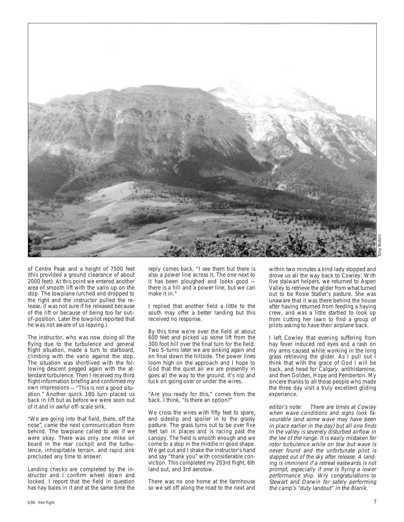

of Centre Peak and a height of 7500 feet (this provided a ground clearance of about 2000 feet). At this point we entered another area of smooth lift with the vario up on the stop. The towplane lurched and dropped to the right and the instructor pulled the release. (I was not sure if he released because of the lift or because of being too far out– of–position. Later the towpilot reported that he was not aware of us leaving.)

The instructor, who was now doing all the flying due to the turbulence and general flight situation, made a turn to starboard, climbing with the vario against the stop. The situation was shortlived with the following descent pegged again with the attendant turbulence. Then I received my third flight information briefing and confirmed my own impressions — "This is not a good situation." Another quick 180 turn placed us back in lift but as before we were soon out of it and in awful off–scale sink.

"We are going into that field, there, off the nose", came the next communication from behind. The towplane called to ask if we were okay. There was only one mike on board in the rear cockpit and the turbulence, inhospitable terrain, and rapid sink precluded any time to answer.

Landing checks are completed by the instructor and I confirm wheel down and locked. I report that the field in question has hay bales in it and at the same time the reply comes back, "I see them but there is also a power line across it. The one next to it has been ploughed and looks good there is a hill and a power line, but we can make it in."

I replied that another field a little to the south may offer a better landing but this received no response.

By this time we're over the field at about 600 feet and picked up some lift from the 300 foot hill over the final turn for the field. Two S–turns later we are sinking again and on final down the hillside. The power lines loom high on the approach and I hope to God that the quiet air we are presently in goes all the way to the ground. It's nip and tuck on going over or under the wires.

"Are you ready for this," comes from the back. I think, "Is there an option?"

We cross the wires with fifty feet to spare, and sideslip and spoiler in to the grassy pasture. The grass turns out to be over five feet tall in places and is racing past the canopy. The field is smooth enough and we come to a stop in the middle in good shape. We get out and I shake the instructor's hand and say "thank you" with considerable conviction. This completed my 203rd flight, 6th land out, and 3rd aerotow.

There was no one home at the farmhouse so we set off along the road to the next and within two minutes a kind lady stopped and drove us all the way back to Cowley. With five stalwart helpers, we returned to Aspen Valley to retrieve the glider from what turned out to be Rosie Statler's pasture. She was unaware that it was there behind the house after having returned from feeding a haying crew, and was a little startled to look up from cutting her lawn to find a group of pilots asking to have their airplane back.

I left Cowley that evening suffering from hay fever induced red eyes and a rash on my arms caused while working in the long grass retrieving the glider. As I pull out I think that with the grace of God I will be back, and head for Calgary, antihistamine, and then Golden, Hope and Pemberton. My sincere thanks to all those people who made the three day visit a truly excellent gliding experience.

editor's note: There are times at Cowley when wave conditions and signs look favourable (and some wave may have been in place earlier in the day) but all one finds in the valley is severely disturbed airflow in the lee of the range. It is easily mistaken for rotor turbulence while on tow but wave is never found and the unfortunate pilot is slapped out of the sky after release. A landing is imminent if a retreat eastwards is not prompt, especially if one is flying a lower performance ship. Wry congratulations to Stewart and Darwin for safely performing the camp's "duty landout" in the Blanik.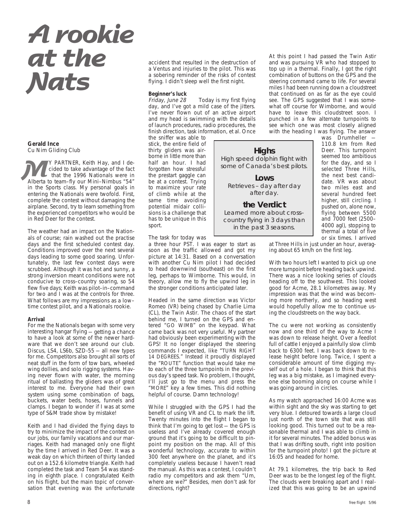# **A rookie at the Nats**

#### **Gerald Ince** Cu Nim Gliding Club

Y PARTNER, Keith Hay, and I decided to take advantage of the fact that the 1996 Nationals were in The PARTNER, Keith Hay, and I decided to take advantage of the fact<br>that the 1996 Nationals were in<br>Alberta to team–fly our Mini–Nimbus "54" in the Sports class. My personal goals in entering the Nationals were twofold. First, complete the contest without damaging the airplane. Second, try to learn something from the experienced competitors who would be in Red Deer for the contest.

The weather had an impact on the Nationals of course; rain washed out the practise days and the first scheduled contest day. Conditions improved over the next several days leading to some good soaring. Unfortunately, the last few contest days were scrubbed. Although it was hot and sunny, a strong inversion meant conditions were not conducive to cross–country soaring, so 54 flew five days; Keith was pilot–in–command for two and I was at the controls for three. What follows are my impressions as a low– time contest pilot, and a Nationals rookie.

#### **Arrival**

For me the Nationals began with some very interesting hangar flying — getting a chance to have a look at some of the newer hardware that we don't see around our club. Discus, LS4, LS6b, SZD-55 — all new types for me. Competitors also brought all sorts of neat stuff in the form of tow bars, wheeled wing dollies, and solo rigging systems. Having never flown with water, the morning ritual of ballasting the gliders was of great interest to me. Everyone had their own system using some combination of bags, buckets, water beds, hoses, funnels and clamps. I began to wonder if I was at some type of S&M trade show by mistake!

Keith and I had divided the flying days to try to minimize the impact of the contest on our jobs, our family vacations and our marriages. Keith had managed only one flight by the time I arrived in Red Deer. It was a weak day on which thirteen of thirty landed out on a 152.6 kilometre triangle. Keith had completed the task and Team 54 was standing in eighth place. I congratulated Keith on his flight, but the main topic of conversation that evening was the unfortunate

accident that resulted in the destruction of a Ventus and injuries to the pilot. This was a sobering reminder of the risks of contest flying. I didn't sleep well the first night.

#### **Beginner's luck**

Friday, June 28 Today is my first flying day, and I've got a mild case of the jitters. I've never flown out of an active airport and my head is swimming with the details of launch procedures, radio procedures, the finish direction, task information, et al. Once

the sniffer was able to stick, the entire field of thirty gliders was airborne in little more than half an hour. I had forgotten how stressful the prestart gaggle can be at a contest. Trying to maximize your rate of climb while at the same time avoiding potential midair collisions is a challenge that has to be unique in this sport.

The task for today was

a three hour PST. I was eager to start as soon as the traffic allowed and got my picture at 14:31. Based on a conversation with another Cu Nim pilot I had decided to head downwind (southeast) on the first leg, perhaps to Wimborne. This would, in theory, allow me to fly the upwind leg in the stronger conditions anticipated later.

Headed in the same direction was Victor Romeo (VR) being chased by Charlie Lima (CL), the Twin Astir. The chaos of the start behind me, I turned on the GPS and entered "GO WIMB" on the keypad. What came back was not very useful. My partner had obviously been experimenting with the GPS! It no longer displayed the steering commands I expected, like "TURN RIGHT 14 DEGREES." Instead it proudly displayed the "ROUTE" function that would take me to each of the three turnpoints in the previous day's speed task. No problem, I thought, I'll just go to the menu and press the "MORE" key a few times. This did nothing helpful of course. Damn technology!

While I struggled with the GPS I had the benefit of using VR and CL to mark the lift. Twenty minutes into the flight I began to think that I'm going to get lost — the GPS is useless and I've already covered enough ground that it's going to be difficult to pinpoint my position on the map. All of this wonderful technology, accurate to within 300 feet anywhere on the planet, and it's completely useless because I haven't read the manual. As this was a contest, I couldn't radio my competitors and ask them "Um, where are we?" Besides, men don't ask for directions, right?

At this point I had passed the Twin Astir and was pursuing VR who had stopped to top up in a thermal. Finally, I got the right combination of buttons on the GPS and the steering command came to life. For several miles I had been running down a cloudstreet that continued on as far as the eye could see. The GPS suggested that I was somewhat off course for Wimborne, and would have to leave this cloudstreet soon. I punched in a few alternate turnpoints to see which one was most closely aligned with the heading I was flying. The answer

**Highs** High speed dolphin flight with some of Canada's best pilots.

**Lows** Retrieves – day after day after day.

**the Verdict**

Learned more about cross– country flying in 3 days than in the past 3 seasons.

was Drumheller -110.8 km from Red Deer. This turnpoint seemed too ambitious for the day, and so I selected Three Hills, the next best candidate. VR was about two miles east and several hundred feet higher, still circling. I pushed on, alone now, flying between 5500 and 7000 feet (2500– 4000 agl), stopping to thermal a total of five or six times. I arrived

at Three Hills in just under an hour, averaging about 65 km/h on the first leg.

With two hours left I wanted to pick up one more turnpoint before heading back upwind. There was a nice looking series of clouds heading off to the southwest. This looked good for Acme, 28.1 kilometres away. My impression was that the wind was becoming more northerly, and so heading west would hopefully allow me to continue using the cloudstreets on the way back.

The cu were not working as consistently now and one third of the way to Acme I was down to release height. Over a feedlot full of cattle I enjoyed a painfully slow climb back to 6300 feet. I was back down to release height before long. Twice, I spent a considerable amount of time digging myself out of a hole. I began to think that this leg was a big mistake, as I imagined everyone else booming along on course while I was going around in circles.

As my watch approached 16:00 Acme was within sight and the sky was starting to get very blue. I detoured towards a large cloud just north of the town site that was still looking good. This turned out to be a reasonable thermal and I was able to climb in it for several minutes. The added bonus was that I was drifting south, right into position for the turnpoint photo! I got the picture at 16:05 and headed for home.

At 79.1 kilometres, the trip back to Red Deer was to be the longest leg of the flight. The clouds were breaking apart and I realized that this was going to be an upwind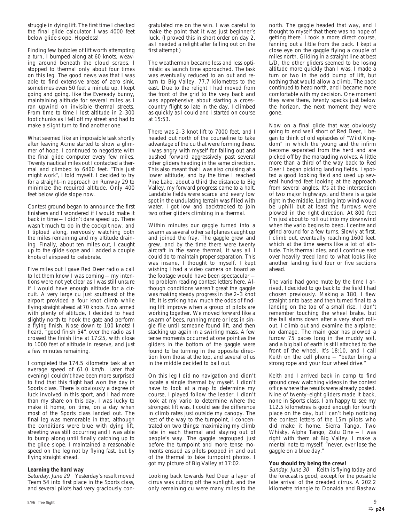struggle in dying lift. The first time I checked the final glide calculator I was 4000 feet below glide slope. Hopeless!

Finding few bubbles of lift worth attempting a turn, I bumped along at 60 knots, weaving around beneath the cloud scraps. I stopped to thermal only about four times on this leg. The good news was that I was able to find extensive areas of zero sink, sometimes even 50 feet a minute up. I kept going and going, like the Eveready bunny, maintaining altitude for several miles as I ran upwind on invisible thermal streets. From time to time I lost altitude in 2–300 foot chunks as I fell off my street and had to make a slight turn to find another one.

What seemed like an impossible task shortly after leaving Acme started to show a glimmer of hope. I continued to negotiate with the final glide computer every few miles. Twenty nautical miles out I contacted a thermal and climbed to 6400 feet. "This just might work", I told myself. I decided to try for a straight–in approach on Runway 29 to minimize the required altitude. Only 400 feet below glide slope now.

Contest ground began to announce the first finishers and I wondered if I would make it back in time — I didn't dare speed up. There wasn't much to do in the cockpit now, and I tiptoed along, nervously watching both the miles remaining and my altitude draining. Finally, about ten miles out, I caught up to the glide slope and I added a couple knots of airspeed to celebrate.

Five miles out I gave Red Deer radio a call to let them know I was coming — my intentions were not yet clear as I was still unsure if I would have enough altitude for a circuit. A very large cu just southeast of the airport provided a four knot climb while flying straight ahead at 70 knots. Now armed with plenty of altitude, I decided to head slightly north to hook the gate and perform a flying finish. Nose down to 100 knots! I heard, "good finish 54", over the radio as I crossed the finish line at 17:25, with close to 1000 feet of altitude in reserve, and just a few minutes remaining.

I completed the 174.5 kilometre task at an average speed of 61.0 km/h. Later that evening I couldn't have been more surprised to find that this flight had won the day in Sports class. There is obviously a degree of luck involved in this sport, and I had more than my share on this day. I was lucky to make it home, on time, on a day when most of the Sports class landed out. The final leg was memorable in that, although the conditions were blue with dying lift, streeting was still occurring and I was able to bump along until finally catching up to the glide slope. I maintained a reasonable speed on the leg not by flying fast, but by flying straight ahead.

#### **Learning the hard way**

Saturday, June 29 Yesterday's result moved Team 54 into first place in the Sports class, and several pilots had very graciously congratulated me on the win. I was careful to make the point that it was just beginner's luck. (I proved this in short order on day 2, as I needed a relight after falling out on the first attempt.)

The weatherman became less and less optimistic as launch time approached. The task was eventually reduced to an out and return to Big Valley, 77.7 kilometres to the east. Due to the relight I had moved from the front of the grid to the very back and was apprehensive about starting a cross– country flight so late in the day. I climbed as quickly as I could and I started on course at 15:53.

There was 2–3 knot lift to 7000 feet, and I headed out north of the courseline to take advantage of the cu that were forming there. I was angry with myself for falling out and pushed forward aggressively past several other gliders heading in the same direction. This also meant that I was also cruising at a lower altitude, and by the time I reached Pine Lake, about a third the distance to Big Valley, my forward progress came to a halt. Landable fields were scarce and every low spot in the undulating terrain was filled with water. I got low and backtracked to join two other gliders climbing in a thermal.

Within minutes our gaggle turned into a swarm as several other sailplanes caught up and joined the fray. The gaggle grew and grew, and by the time there were twenty aircraft in the same thermal, it was all I could do to maintain proper separation. This was insane, I thought to myself. I kept wishing I had a video camera on board as the footage would have been spectacular no problem reading contest letters here. Although conditions weren't great the gaggle was making steady progress in the 2–3 knot lift. It is striking how much the odds of finding lift improve when a group of pilots are working together. We moved forward like a swarm of bees, running more or less in single file until someone found lift, and then stacking up again in a swirling mass. A few tense moments occurred at one point as the gliders in the bottom of the gaggle were found to be turning in the opposite direction from those at the top, and several of us in the middle decided to bail out.

On this leg I did no navigation and didn't locate a single thermal by myself. I didn't have to look at a map to determine my course, I played follow the leader. I didn't look at my vario to determine where the strongest lift was, I could see the difference in climb rates just outside my canopy. The rest of the way to the turnpoint, I concentrated on two things: maximizing my climb rate in each thermal and staying out of people's way. The gaggle regrouped just before the turnpoint and more tense moments ensued as pilots popped in and out of the thermal to take turnpoint photos. I got my picture of Big Valley at 17:02.

Looking back towards Red Deer a layer of cirrus was cutting off the sunlight, and the only remaining cu were many miles to the

north. The gaggle headed that way, and I thought to myself that there was no hope of getting there. I took a more direct course, fanning out a little from the pack. I kept a close eye on the gaggle flying a couple of miles north. Gliding in a straight line at best L/D, the other gliders seemed to be losing altitude more quickly than I was. I made a turn or two in the odd bump of lift, but nothing that would allow a climb. The pack continued to head north, and I became more comfortable with my decision. One moment they were there, twenty specks just below the horizon, the next moment they were gone.

Now on a final glide that was obviously going to end well short of Red Deer, I began to think of old episodes of "Wild Kingdom" in which the young and the infirm become separated from the herd and are picked off by the marauding wolves. A little more than a third of the way back to Red Deer I began picking landing fields. I spotted a good looking field and used up several hundred feet looking at the approach from several angles. It's at the intersection of two major highways, and there is a gate right in the middle. Landing into wind would be uphill but at least the furrows were plowed in the right direction. At 800 feet I'm just about to roll out into my downwind when the vario begins to beep. I centre and grind around for a few turns. Slowly at first, I climb out, eventually reaching 1600 feet, which at the time seems like a lot of altitude. This thermal dies, and I continue east over heavily treed land to what looks like another landing field four or five sections ahead.

The vario had gone mute by the time I arrived, I decided to go back to the field I had chosen previously. Making a 180, I flew straight onto base and then turned final to a landing on the top of a small rise. I don't remember touching the wheel brake, but the tail slams down after a very short rollout. I climb out and examine the airplane; no damage. The main gear has plowed a furrow 75 paces long in the muddy soil, and a big ball of earth is still attached to the front of the wheel. It's 18:10, and I call Keith on the cell phone — "better bring a strong rope and your four wheel drive."

Keith and I arrived back in camp to find ground crew watching videos in the contest office where the results were already posted. Nine of twenty–eight gliders made it back, none in Sports class. I am happy to see my 112.5 kilometres is good enough for fourth place on the day, but I can't help noticing the contest letters of the 15m pilots who did make it home. Sierra Tango, Two Whisky, Alpha Tango, Zulu One — I was right with them at Big Valley. I make a mental note to myself: "never, ever lose the gaggle on a blue day."

#### **You should try being the crew!**

Sunday, June 30 Keith is flying today and the forecast is good, except for the possible late arrival of the dreaded cirrus. A 202.2 kilometre triangle to Donalda and Bashaw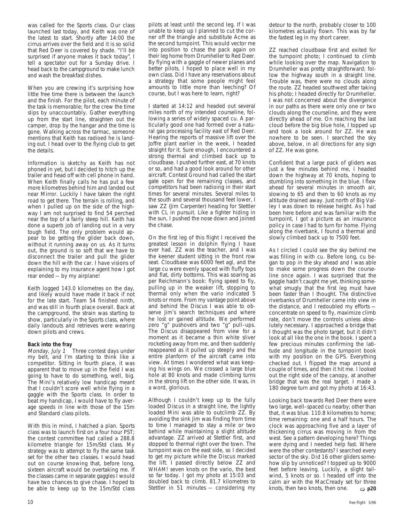was called for the Sports class. Our class launched last today, and Keith was one of the latest to start. Shortly after 14:00 the cirrus arrives over the field and it is so solid that Red Deer is covered by shade. "I'll be surprised if anyone makes it back today", I tell a spectator out for a Sunday drive. I head back to the campground to make lunch and wash the breakfast dishes.

When you are crewing it's surprising how little free time there is between the launch and the finish. For the pilot, each minute of the task is memorable; for the crew the time slips by unaccountably. Gather everything up from the start line, straighten out the camper, drop by the hangar and the time is gone. Walking across the tarmac, someone mentions that Keith has radioed he is landing out. I head over to the flying club to get the details.

Information is sketchy as Keith has not phoned in yet, but I decided to hitch up the trailer and head off with cell phone in hand. When Keith finally calls he has put a few more kilometres behind him and landed out near Mirror. Luckily I have taken the right road to get there. The terrain is rolling, and when I pulled up on the side of the highway I am not surprised to find 54 perched near the top of a fairly steep hill. Keith has done a superb job of landing out in a very tough field. The only problem would appear to be getting the glider back down, without it running away on us. As it turns out, the ground is so soft that we have to disconnect the trailer and pull the glider down the hill with the car. I have visions of explaining to my insurance agent how I got rear ended — by my airplane!

Keith logged 143.0 kilometres on the day, and likely would have made it back if not for the late start. Team 54 finished ninth, and was still in fourth place overall. Back at the campground, the strain was starting to show, particularly in the Sports class, where daily landouts and retrieves were wearing down pilots and crews.

**Back into the fray**<br>*Monday*, July 1 Three contest days under my belt, and I'm starting to think like a competitor. Sitting in fourth place, it was apparent that to move up in the field I was going to have to do something, well, big. The Mini's relatively low handicap meant that I couldn't score well while flying in a gaggle with the Sports class. In order to beat my handicap, I would have to fly average speeds in line with those of the 15m and Standard class pilots.

With this in mind, I hatched a plan. Sports class was to launch first on a four hour PST; the contest committee had called a 288.8 kilometre triangle for 15m/Std class. My strategy was to attempt to fly the same task set for the other two classes. I would head out on course knowing that, before long, sixteen aircraft would be overtaking me. If the classes came in separate gaggles I would have two chances to give chase. I hoped to be able to keep up to the 15m/Std class Stettler in 51 minutes  $-$  considering my knots, then two knots, then one.  $\Rightarrow$  **p20** 

pilots at least until the second leg. If I was unable to keep up I planned to cut the corner off the triangle and substitute Acme as the second turnpoint. This would vector me into position to chase the pack again on their leg home from Drumheller to Red Deer. By flying with a gaggle of newer planes and better pilots, I hoped to place well in my own class. Did I have any reservations about a strategy that some people might feel amounts to little more than leeching? Of course, but I was here to learn, right?

I started at 14:12 and headed out several miles north of my intended courseline, following a series of widely spaced cu. A particularly good one had formed over a natural gas processing facility east of Red Deer. Hearing the reports of massive lift over the Joffre plant earlier in the week, I headed straight for it. Sure enough, I encountered a strong thermal and climbed back up to cloudbase. I pushed further east, at 70 knots or so, and had a good look around for other aircraft. Contest Ground had called the start gate open for the remaining classes, and competitors had been radioing in their start times for several minutes. Several miles to the south and several thousand feet lower, I saw ZZ (Jim Carpenter) heading for Stettler with CL in pursuit. Like a fighter hiding in the sun, I pushed the nose down and joined the chase.

On the first leg of this flight I received the greatest lesson in dolphin flying I have ever had. ZZ was the teacher, and I was the keener student sitting in the front row seat. Cloudbase was 6000 feet agl, and the large cu were evenly spaced with fluffy tops and flat, dirty bottoms. This was soaring as per Reichmann's book: flying speed to fly, pulling up in the weaker lift, stopping to thermal only when the vario indicated 5 knots or more. From my vantage point above and behind the Discus I was able to observe Jim's search techniques and where he lost or gained altitude. We performed zero "g" pushovers and two "g" pull-ups. The Discus disappeared from view for a moment as it became a thin white sliver rocketing away from me, and then suddenly reappeared as it pulled up steeply and the entire planform of the aircraft came into view. At times I wondered what was keeping his wings on. We crossed a large blue hole at 80 knots and made climbing turns in the strong lift on the other side. It was, in a word, glorious.

Although I couldn't keep up to the fully loaded Discus in a straight line, the lightly loaded Mini was able to outclimb ZZ. By avoiding the sink Jim was finding from time to time I managed to stay a mile or two behind while maintaining a slight altitude advantage. ZZ arrived at Stettler first, and stopped to thermal right over the town. The turnpoint was on the east side, so I decided to get my picture while the Discus marked the lift. I passed directly below ZZ and WHAM! seven knots on the vario, the best so far today. I got my photo at 15:03 and doubled back to climb. 81.7 kilometres to Stettler in 51 minutes — considering my detour to the north, probably closer to 100 kilometres actually flown. This was by far the fastest leg in my short career.

ZZ reached cloudbase first and exited for the turnpoint photo; I continued to climb while looking over the map. Navigation to Drumheller was pretty straightforward; follow the highway south in a straight line. Trouble was, there were no clouds along the route. ZZ headed southwest after taking his photo; I headed directly for Drumheller. I was not concerned about the divergence in our paths as there were only one or two clouds along the courseline, and they were directly ahead of me. On reaching the last cloud before the big blue hole, I topped up and took a look around for ZZ. He was nowhere to be seen. I searched the sky above, below, in all directions for any sign of ZZ. He was gone.

Confident that a large pack of gliders was just a few minutes behind me, I headed down the highway at 70 knots, hoping to stumbling into something in the blue. I flew ahead for several minutes in smooth air, slowing to 65 and then to 60 knots as my altitude drained away. Just north of Big Valley I was down to release height. As I had been here before and was familiar with the turnpoint, I got a picture as an insurance policy in case I had to turn for home. Flying along the riverbank, I found a thermal and slowly climbed back up to 7500 feet.

As I circled I could see the sky behind me was filling in with cu. Before long, cu began to pop in the sky ahead and I was able to make some progress down the courseline once again. I was surprised that the gaggle hadn't caught me yet, thinking somewhat smugly that the first leg must have been faster than I thought. The distinctive riverbanks of Drumheller came into view in the distance, and I redoubled my efforts concentrate on speed to fly, maximize climb rate, don't move the controls unless absolutely necessary. I approached a bridge that I thought was the photo target, but it didn't look at all like the one in the book. I spent a few precious minutes confirming the latitude and longitude in the turnpoint book with my position on the GPS. Everything checked out. I flipped the map around a couple of times, and then it hit me. I looked out the right side of the canopy, at another bridge that was the real target. I made a 180 degree turn and got my photo at 16:43.

Looking back towards Red Deer there were two large, well–spaced cu nearby; other than that, it was blue. 110.8 kilometres to home; time remaining: one and a half hours. The clock was approaching five and a layer of thickening cirrus was moving in from the west. See a pattern developing here? Things were dying and I needed help fast. Where were the other contestants? I searched every sector of the sky. Did 16 other gliders somehow slip by unnoticed? I topped up to 9000 feet before leaving. Luckily, a slight tailwind, 5 knots or so. I headed off into the calm air with the MacCready set for three knots, then two knots, then one.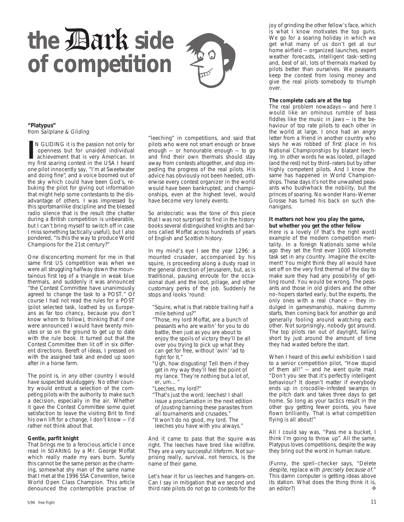# the **Dark** side **of competition**

#### **"Platypus"** from Sailplane & Gliding

**I**N GLIDING it is the passion not only for openness but for unaided individual achievement that is very American. In my first soaring contest in the USA I heard N GLIDING it is the passion not only for openness but for unaided individual achievement that is very American. In one pilot innocently say, "I'm at Sweetwater and doing fine", and a voice boomed out of the sky which could have been God's, rebuking the pilot for giving out information that might help some contestants to the disadvantage of others. I was impressed by this sportsmanlike discipline and the blessed radio silence that is the result (the chatter during a British competition is unbearable, but I can't bring myself to switch off in case I miss something tactically useful), but I also pondered, "Is this the way to produce World Champions for the 21st century?"

One disconcerting moment for me in that same first US competition was when we were all struggling halfway down the mountainous first leg of a triangle in weak blue thermals, and suddenly it was announced "the Contest Committee have unanimously agreed to change the task to a POST." Of course I had not read the rules for a POST (pilot selected task, loathed by us Europeans as far too chancy, because you don't know whom to follow), thinking that if one were announced I would have twenty minutes or so on the ground to get up to date with the rule book. It turned out that the Contest Committee then lit off in six different directions. Bereft of ideas, I pressed on with the assigned task and ended up soon after in a horse farm.

The point is, in any other country I would have suspected skulduggery. No other country would entrust a selection of the competing pilots with the authority to make such a decision, especially in the air. Whether it gave the Contest Committee some quiet satisfaction to leave the visiting Brit to find his own lift for a change, I don't know — I'd rather not think about that.

#### **Gentle, parfit knight**

That brings me to a ferocious article I once read in SOARING by a Mr. George Moffat which really made my ears burn. Surely this cannot be the same person as the charming, somewhat shy man of the same name that I met at the 1996 SSA Convention, twice World Open Class Champion. This article denounced the contemptible practise of

"leeching" in competitions, and said that pilots who were not smart enough or brave enough — or honourable enough — to go and find their own thermals should stay away from contests altogether, and stop impeding the progress of the real pilots. His advice has obviously not been heeded, otherwise every contest organizer in the world would have been bankrupted, and championships, even at the highest level, would have become very lonely events.

So aristocratic was the tone of this piece that I was not surprised to find in the history books several distinguished knights and barons called Moffat across hundreds of years of English and Scottish history.

In my mind's eye I see the year 1296: a mounted crusader, accompanied by his squire, is proceeding along a dusty road in the general direction of Jerusalem, but, as is traditional, pausing enroute for the occasional duel and the loot, pillage, and other customary perks of the job. Suddenly he stops and looks 'round:

- "Squire, what is that rabble trailing half a mile behind us?"
- "Those, my lord Moffat, are a bunch of peasants who are waitin' for you to do battle, then just as you are about to enjoy the spoils of victory they'll be all over you trying to pick up what they can get for free, without 'avin' 'ad to fight for It."
- "Ugh, how disgusting! Tell them if they get in my way they'll feel the point of my lance. They're nothing but a lot of,  $er, um...$
- "Leeches, my lord?"
- "That's just the word; leeches! I shall issue a proclamation in the next edition of Jousting banning these parasites from all tournaments and crusades."
- "It won't do no good, my lord. The

leeches you have with you always."

And it came to pass that the squire was right. The leeches have bred like wildfire. They are a very successful lifeform. Not surprising really, survival, not heroics, is the name of their game.

Let's hear it for us leeches and hangers–on. Can I say in mitigation that we second and third rate pilots do not go to contests for the joy of grinding the other fellow's face, which is what I know motivates the top guns. We go for a soaring holiday in which we get what many of us don't get at our home airfield — organized launches, expert weather forecasts, intelligent task–setting and, best of all, Iots of thermals marked by pilots better than ourselves. We peasants keep the contest from losing money and give the real pilots somebody to triumph over.

#### **The complete cads are at the top**

The real problem nowadays — and here I would like an ominous rumble of bass fiddles like the music in Jaws — is the behaviour of top rate pilots to each other in the world at large. I once had an angry letter from a friend in another country who says he was robbed of first place in his National Championships by blatant leeching. In other words he was looted, pillaged (and the rest) not by third–raters but by other highly competent pilots. And I know the same has happened in World Championships. These days it's not the unwashed peasants who bushwhack the nobility, but the princes of soaring. No wonder Hans–Werner Grosse has turned his back on such shenanigans.

#### **It matters not how you play the game, but whether you get the other fellow**

Here is a lovely (if that's the right word) example of the modern competition mentality. In a foreign Nationals some while ago they set the first ever 1000 kilometre task set in any country. Imagine the excitement! You might think they all would have set off on the very first thermal of the day to make sure they had any possibility of getting round. You would be wrong. The peasants and those in old gliders and the other no–hopers started early, but the experts, the only ones with a real chance — they indulged in gamesmanship, making dummy starts, then coming back for another go and generally fooling around watching each other. Not surprisingly, nobody got around. The top pilots ran out of daylight, falling short by just around the amount of time they had wasted before the start.

When I heard of this awful exhibition I said to a senior competition pilot, "How stupid of them all!" — and he went quite mad. "Don't you see that it's perfectly intelligent behaviour? It doesn't matter if everybody ends up in crocodile–infested swamps in the pitch dark and takes three days to get home. So long as your tactics result in the other guy getting fewer points, you have flown brilliantly. That is what competition flying is all about!"

All I could say was, "Pass me a bucket, I think I'm going to throw up". All the same, Platypus loves competitions, despite the way they bring out the worst in human nature.

(Funny, the spell–checker says, "Delete despite, replace with precisely because of." This damn computer is getting ideas above its station. What does the thing think it is, an editor?) ❖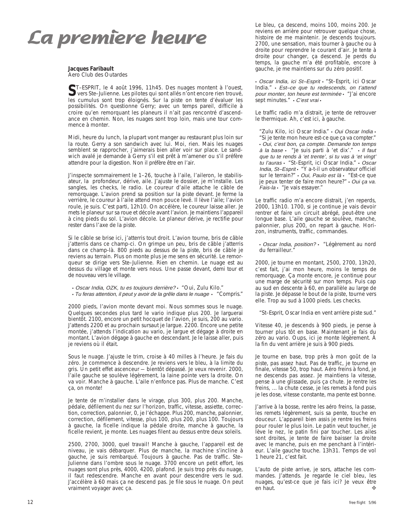## **La première heure**

**Jacques Faribault** Aero Club des Outardes

ST–ESPRIT, le 4 août 1996, 11h45. Des nuages montent à l'ouest,<br>Vers Ste–Julienne. Les pilotes qui sont allés n'ont encore rien trouvé,<br>les gumulus sont trop éleispée, Sur le pitte en tante d'évoluer les les cumulus sont trop éloignés. Sur la piste on tente d'évaluer les possibilités. On questionne Gerry; avec un temps pareil, difficile à croire qu'en remorquant les planeurs il n'ait pas rencontré d'ascendance en chemin. Non, les nuages sont trop loin, mais une tour commence à monter.

Midi, heure du lunch, la plupart vont manger au restaurant plus loin sur la route. Gerry a son sandwich avec lui. Moi, rien. Mais les nuages semblent se rapprocher, j'aimerais bien aller voir sur place. Le sandwich avalé je demande à Gerry s'il est prêt à m'amener ou s'il préfère attendre pour la digestion. Non il préfère être en l'air.

J'inspecte sommairement le 1–26, touche à l'aile, l'aileron, le stabilisateur, la profondeur, dérive, aile. J'ajuste le dossier, je m'installe. Les sangles, les checks, le radio. Le coureur d'aile attache le câble de remorquage. L'avion prend sa position sur la piste devant. Je ferme la verrière, le coureur à l'aile attend mon pouce levé. Il lève l'aile; l'avion roule, je suis. C'est parti, 12h10. On accélère, le coureur laisse aller. Je mets le planeur sur sa roue et décole avant l'avion. Je maintiens l'appareil à cinq pieds du sol. L'avion décole. Le planeur dérive, je rectifie pour rester dans l'axe de la piste.

Si le câble se brise ici, j'atterris tout droit. L'avion tourne, bris de câble j'atterris dans ce champ-ci. On grimpe un peu, bris de câble j'atterris dans ce champ-là. 800 pieds au dessus de la piste, bris de câble je reviens au terrain. Plus on monte plus je me sens en sécurité. Le remorqueur se dirige vers Ste–Julienne. Rien en chemin. Le nuage est au dessus du village et monte vers nous. Une passe devant, demi tour et de nouveau vers le village.

- Oscar India, OZK, tu es toujours derrière? "Oui, Zulu Kilo."
- Tu feras attention, il peut y avoir de la grêle dans le nuage "Compris."

2000 pieds, l'avion monte devant moi. Nous sommes sous le nuage. Quelques secondes plus tard le vario indique plus 200. Je larguerai bientôt. 2100, encore un petit hocquet de l'avion, je suis, 200 au vario. J'attends 2200 et au prochain sursaut je largue. 2200. Encore une petite montée, j'attends l'indication au vario, je largue et dégage à droite en montant. L'avion dégage à gauche en descendant. Je le laisse aller, puis je reviens où il était.

Sous le nuage. J'ajuste le trim, croise à 40 milles à l'heure. Je fais du zéro. Je commence à descendre. Je reviens vers le bleu, à la limite du gris. Un petit effet ascenceur — bientôt dépassé. Je veux revenir. 2000, l'aile gauche se soulève légèrement, la laine pointe vers la droite. On va voir. Manche à gauche. L'aile n'enfonce pas. Plus de manche. C'est ça, on monte!

Je tente de m'installer dans le virage, plus 300, plus 200. Manche, pédale, défilement du nez sur l'horizon, traffic, vitesse, assiette, correction, correction, palonnier, 0, je l'échappe. Plus 200, manche, palonnier, correction, défilement, vitesse, plus 100, plus 200, plus 100. Toujours à gauche, la ficelle indique la pédale droite, manche à gauche, la ficelle revient, je monte. Les nuages filent au dessus entre deux soleils.

2500, 2700, 3000, quel travail! Manche à gauche, l'appareil est de niveau, je vais débarquer. Plus de manche, la machine s'incline à gauche, je suis rembarqué. Toujours à gauche. Pas de traffic. Ste– Julienne dans l'ombre sous le nuage. 3700 encore un petit effort, les nuages sont plus près, 4000, 4200, plafond. Je suis trop près du nuage, il faut redescendre. Manche en avant pour descendre vers le sud. J'accélère à 60 mais ça ne descend pas. Je file sous le nuage. On peut vraiment voyager avec ça.

Le bleu, ça descend, moins 100, moins 200. Je reviens en arrière pour retrouver quelque chose, histoire de me maintenir. Je descends toujours. 2700, une sensation, mais tourner à gauche ou à droite pour reprendre le courant d'air. Je tente à droite pour changer, ça descend. Je perds du temps, la gauche m'a été profitable, encore à gauche, je me maintiens sur du zéro positif.

• Oscar India, ici St–Esprit • "St–Esprit, ici Oscar India." • Est–ce que tu redescends, on t'attend pour monter, ton heure est terminée • "J'ai encore sept minutes." • C'est vrai •

Le traffic radio m'a distrait, je tente de retrouver le thermique. Ah, c'est ici, à gauche.

"Zulu Kilo, ici Oscar India." · Oui Oscar India · "Si je tente mon heure est-ce que ça va compter." • Oui, c'est bon, ça compte. Demande ton temps à la base • "Je suis parti à 'et dix'." • Il faut que tu te rends à 'et trente', si tu vas à 'et vingt' tu l'auras • "St–Esprit, ici Oscar India." • Oscar India, St–Esprit • "Y a-t-il un observateur officiel sur le terrain?" • Oui, Paulo est là • "Est-ce que je peux tenter de faire mon heure?" • Oui ça va. Fais-la • "Je vais essayer."

Le traffic radio m'a encore distrait, j'en reperds, 2000, 13h10. 1700, si je continue je vais devoir rentrer et faire un circuit abrégé, peut-être une longue base. L'aile gauche se soulève, manche, palonnier, plus 200, on repart à gauche. Horizon, instruments, traffic, commandes.

• Oscar India, position? • "Légèrement au nord du ferrailleur."

2000, je tourne en montant, 2500, 2700, 13h20, c'est fait, j'ai mon heure, moins le temps de remorquage. Ça monte encore, je continue pour une marge de sécurité sur mon temps. Puis cap au sud en descente à 60, en parallèle au large de la piste. Je dépasse le bout de la piste, tourne vers elle. Trop au sud à 1000 pieds. Les checks.

"St–Esprit, Oscar India en vent arrière piste sud."

Vitesse 40, je descends à 900 pieds, je pense à tourner plus tôt en base. Maintenant je fais du zéro au vario. Oups, ici je monte légèrement. À la fin du vent arrière je suis à 900 pieds.

Je tourne en base, trop près à mon goût de la piste, pas assez haut. Pas de traffic, je tourne en finale, vitesse 50, trop haut. Aéro freins à fond, je ne descends pas assez. Je maintiens la vitesse, pense à une glissade, puis ça chute. Je rentre les freins, ... la chute cesse, je les remets à fond puis je les dose, vitesse constante, ma pente est bonne.

J'arrive à la bosse, rentre les aéro freins, la passe, les remets légèrement, suis sa pente, touche en douceur. L'appareil bien assis je rentre les freins pour rouler le plus loin. Le patin veut toucher, je lève le nez, le patin fini par toucher. Les ailes sont droites, je tente de faire baisser la droite avec le manche, puis en me penchant à l'intérieur. L'aile gauche touche. 13h31. Temps de vol 1 heure 21, c'est fait.

L'auto de piste arrive, je sors, attache les commandes. J'attends. Je regarde le ciel bleu, les nuages, qu'est-ce que je fais ici? Je veux être en haut. ❖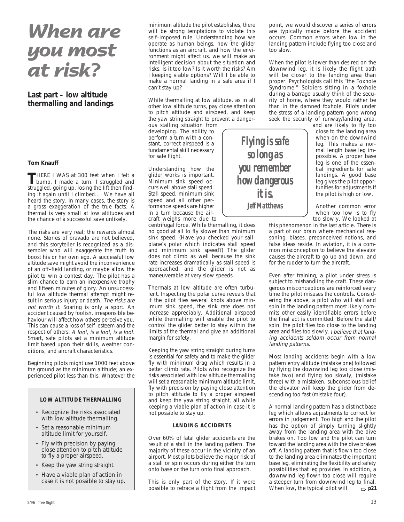## **When are you most at risk?**

#### **Last part – low altitude thermalling and landings**

**Tom Knauff**

**THERE I WAS at 300 feet when I felt a**<br>bump. I made a turn. I struggled and struggled, going up, losing the Iift then finding it again until I climbed... We have all heard the story. In many cases, the story is a gross exaggeration of the true facts. A thermal is very small at low altitudes and the chance of a successful save unlikely.

The risks are very real; the rewards almost none. Stories of bravado are not believed, and this storyteller is recognized as a dissembler who will exaggerate the truth to boost his or her own ego. A successful low altitude save might avoid the inconvenience of an off–field landing, or maybe allow the pilot to win a contest day. The pilot has a slim chance to earn an inexpensive trophy and fifteen minutes of glory. An unsuccessful low altitude thermal attempt might result in serious injury or death. The risks are not worth it. Soaring is only a sport. An accident caused by foolish, irresponsible behaviour will affect how others perceive you. This can cause a loss of self–esteem and the respect of others. A fool, is a fool, is a fool. Smart, safe pilots set a minimum altitude limit based upon their skills, weather conditions, and aircraft characteristics.

Beginning pilots might use 1000 feet above the ground as the minimum altitude; an experienced pilot less than this. Whatever the

#### **LOW ALTITUDE THERMALLING**

- Recognize the risks associated with low altitude thermalling.
- Set a reasonable minimum altitude limit for yourself.
- Fly with precision by paying close attention to pitch attitude to fly a proper airspeed.
- Keep the yaw string straight.
- Have a viable plan of action in case it is not possible to stay up.

minimum altitude the pilot establishes, there will be strong temptations to violate this self–imposed rule. Understanding how we operate as human beings, how the glider functions as an aircraft, and how the environment might affect us, we will make an intelligent decision about the situation and risks. Is it too low? Is it worth the risks? Am I keeping viable options? Will I be able to make a normal landing in a safe area if I can't stay up?

While thermalling at low altitude, as in all other low altitude turns, pay close attention to pitch attitude and airspeed, and keep the yaw string straight to prevent a danger-

ous stalling situation from developing. The ability to perform a turn with a constant, correct airspeed is a fundamental skill necessary for safe flight.

Understanding how the glider works is important. Minimum sink speed occurs well above stall speed. Stall speed, minimum sink speed and all other performance speeds are higher in a turn because the aircraft weighs more due to

centrifugal force. While thermalling, it does no good at all to fly slower than minimum sink speed. (Have you checked your sailplane's polar which indicates stall speed and minimum sink speed?) The glider does not climb as well because the sink rate increases dramatically as stall speed is approached, and the glider is not as maneuverable at very slow speeds.

Thermals at low altitude are often turbulent. Inspecting the polar curve reveals that if the pilot flies several knots above minimum sink speed, the sink rate does not increase appreciably. Additional airspeed while thermalling will enable the pilot to control the glider better to stay within the limits of the thermal and give an additional margin for safety.

Keeping the yaw string straight during turns is essential for safety and to make the glider fly with minimum drag which results in a better climb rate. Pilots who recognize the risks associated with low altitude thermalling will set a reasonable minimum altitude limit, fly with precision by paying close attention to pitch attitude to fly a proper airspeed and keep the yaw string straight, all while keeping a viable plan of action in case it is not possible to stay up.

#### **LANDING ACCIDENTS**

Over 60% of fatal glider accidents are the result of a stall in the landing pattern. The majority of these occur in the vicinity of an airport. Most pilots believe the major risk of a stall or spin occurs during either the turn onto base or the turn onto final approach.

This is only part of the story. If it were

point, we would discover a series of errors are typically made before the accident occurs. Common errors when low in the landing pattern include flying too close and too slow.

When the pilot is lower than desired on the downwind leg, it is likely the flight path will be closer to the landing area than proper. Psychologists call this "the Foxhole Syndrome." Soldiers sitting in a foxhole during a barrage usually think of the security of home, where they would rather be than in the damned foxhole. Pilots under the stress of a landing pattern gone wrong seek the security of runway/landing area,

and are likely to fly too close to the landing area when on the downwind leg. This makes a normal length base leg impossible. A proper base leg is one of the essential ingredients for safe landings. A good base leg gives the pilot opportunities for adjustments if the pilot is high or low.

Another common error when too low is to fly too slowly. We looked at

this phenomenon in the last article. There is a part of our brain where mechanical reasoning, biases, preconceived notions, and false ideas reside. In aviation, it is a common misconception to believe the elevator causes the aircraft to go up and down, and for the rudder to turn the aircraft.

Even after training, a pilot under stress is subject to mishandling the craft. These dangerous misconceptions are reinforced every time the pilot misuses the controls. Considering the above, a pilot who will stall and spin in the landing pattern most likely commits other easily identifiable errors before the final act is committed. Before the stall/ spin, the pilot flies too close to the landing area and flies too slowly. I believe that landing accidents seldom occur from normal landing patterns.

Most landing accidents begin with a low pattern entry altitude (mistake one) followed by flying the downwind leg too close (mistake two) and flying too slowly, (mistake three) with a mistaken, subconscious belief the elevator will keep the glider from descending too fast (mistake four).

A normal landing pattern has a distinct base leg which allows adjustments to correct for errors in judgement. Too high and the pilot has the option of simply turning slightly away from the landing area with the dive brakes on. Too low and the pilot can turn toward the landing area with the dive brakes off. A landing pattern that is flown too close to the landing area eliminates the important base leg, eliminating the flexibility and safety possibilities that leg provides. In addition, a downwind leg flown too close will require a steeper turn from downwind leg to final. When low, the typical pilot will possible to retrace a flight from the impact When low, the typical pilot will  $\Rightarrow$  **p21** 

*Flying is safe so long as you remember how dangerous it is. Jeff Matthews*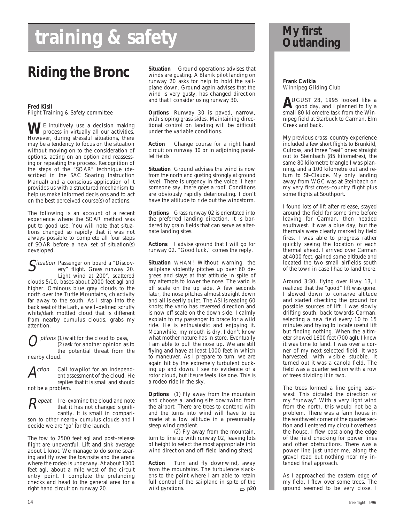# **training & safety**

**Fred Kisil** Flight Training & Safety committee

**WE** intuitively use a decision making<br>process in virtually all our activities. However, during stressful situations, there may be a tendency to focus on the situation without moving on to the consideration of options, acting on an option and reassessing or repeating the process. Recognition of the steps of the "SOAR" technique (described in the SAC Soaring Instruction Manual) and a conscious application of it provides us with a structured mechanism to help us make informed decisions and to act on the best perceived course(s) of actions.

The following is an account of a recent experience where the SOAR method was put to good use. You will note that situations changed so rapidly that it was not always possible to complete all four steps of SOAR before a new set of situation(s) developed.

Situation Passenger on board a "Discov-<br>ery" flight. Grass runway 20. Light wind at 200°, scattered clouds 5/10, bases about 2000 feet agl and higher. Ominous blue gray clouds to the north over the Turtle Mountains, cb activity far away to the south. As I strap into the back seat of the Lark, a well–defined scruffy white/dark mottled cloud that is different from nearby cumulus clouds, grabs my attention.

ptions (1) wait for the cloud to pass, (2) ask for another opinion as to the potential threat from the nearby cloud.



Action Call towpilot for an independent assessment of the cloud. He replies that it is small and should not be a problem.



 $R$ epeat I re–examine the cloud and note that it has not changed significantly. It is small in compari-

son to other nearby cumulus clouds and I decide we are 'go' for the launch.

The tow to 2500 feet agl and post–release flight are uneventful. Lift and sink average about 1 knot. We manage to do some soaring and fly over the townsite and the arena where the rodeo is underway. At about 1300 feet agl, about a mile west of the circuit entry point, I complete the prelanding checks and head to the general area for a right hand circuit on runway 20.

**Situation** Ground operations advises that winds are gusting. A Blanik pilot landing on runway 20 asks for help to hold the sailplane down. Ground again advises that the wind is very gusty, has changed direction and that I consider using runway 30. **Riding the Bronc** Situation Ground operations advises that<br>Frank Cwikla<br>Frank Cwikla

> **Options** Runway 30 is paved, narrow, with sloping grass sides. Maintaining directional control on landing will be difficult under the variable conditions.

> **Action** Change course for a right hand circuit on runway 30 or in adjoining parallel fields.

**Situation** Ground advises the wind is now from the north and gusting strongly at ground level. There is urgency in the voice. I hear someone say, there goes a roof. Conditions are obviously rapidly deteriorating. I don't have the altitude to ride out the windstorm.

**Options** Grass runway 02 is orientated into the preferred landing direction. It is bordered by grain fields that can serve as alternate landing sites.

**Actions** I advise ground that I will go for runway 02. "Good luck," comes the reply.

**Situation** WHAM! Without warning, the sailplane violently pitches up over 60 degrees and stays at that attitude in spite of my attempts to lower the nose. The vario is off scale on the up side. A few seconds later, the nose pitches almost straight down and all is eerily quiet. The ASI is reading 60 knots; the vario has reversed direction and is now off scale on the down side. I calmly explain to my passenger to brace for a wild ride. He is enthusiastic and enjoying it. Meanwhile, my mouth is dry. I don't know what mother nature has in store. Eventually I am able to pull the nose up. We are still flying and have at least 1000 feet in which to maneuver. As I prepare to turn, we are again hit by the extremely turbulent bucking up and down. I see no evidence of a rotor cloud, but it sure feels like one. This is a rodeo ride in the sky.

**Options** (1) Fly away from the mountain and choose a landing site downwind from the airport. There are trees to contend with and the turns into wind will have to be made at a low altitude in a presumably steep wind gradient.

(2) Fly away from the mountain, turn to line up with runway 02, leaving lots of height to select the most appropriate into wind direction and off–field landing site(s).

**Action** Turn and fly downwind, away from the mountains. The turbulence slackens to the point where I am able to retain full control of the sailplane in spite of the wild gyrations.

## **My first Outlanding**

Winnipeg Gliding Club

**A**UGUST 28, 1995 looked like a<br>good day, and I planned to fly a<br>small 20 kilometre tesk from the Win small 80 kilometre task from the Winnipeg field at Starbuck to Carman, Elm Creek and back.

My previous cross–country experience included a few short flights to Brunkild, Culross, and three "real" ones: straight out to Steinbach (85 kilometres), the same 80 kilometre triangle I was planning, and a 100 kilometre out and return to St–Claude. My only landing away from WGC was at Steinbach on my very first cross–country flight plus some flights at Southport.

I found lots of lift after release, stayed around the field for some time before leaving for Carman, then headed southwest. It was a blue day, but the thermals were clearly marked by field fires. I was able to progress rather quickly seeing the location of each thermal ahead. I arrived over Carman at 4000 feet, gained some altitude and located the two small airfields south of the town in case I had to land there.

Around 3:30, flying over Hwy 13, I realized that the "good" lift was gone. I slowed down to conserve altitude and started checking the ground for possible sources of lift. I was slowly drifting south, back towards Carman, selecting a new field every 10 to 15 minutes and trying to locate useful lift but finding nothing. When the altimeter showed 1600 feet (700 agl), I knew it was time to land. I was over a corner of my next selected field. It was harvested, with visible stubble. It turned out it was a canola field. The field was a quarter section with a row of trees dividing it in two.

The trees formed a line going east– west. This dictated the direction of my "runway". With a very light wind from the north, this would not be a problem. There was a farm house in the southwest corner of the quarter section and I entered my circuit overhead the house. I flew east along the edge of the field checking for power lines and other obstructions. There was a power line just under me, along the gravel road but nothing near my intended final approach.

As I approached the eastern edge of my field, I flew over some trees. The ➯ **p20** ground seemed to be very close. I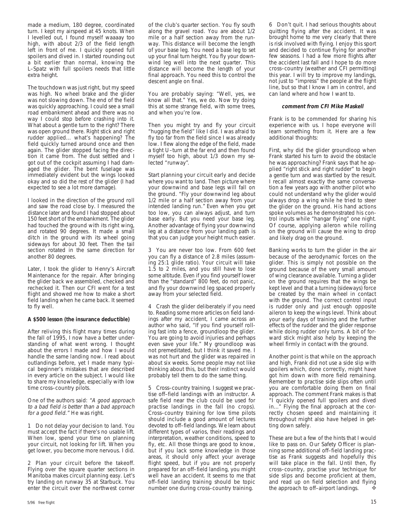made a medium, 180 degree, coordinated turn. I kept my airspeed at 45 knots. When I levelled out, I found myself waaaay too high, with about 2/3 of the field length left in front of me. I quickly opened full spoilers and dived in. I started rounding out a bit earlier than normal, knowing the L–Spatz with full spoilers needs that little extra height.

The touchdown was just right, but my speed was high. No wheel brake and the glider was not slowing down. The end of the field was quickly approaching. I could see a small road embankment ahead and there was no way I could stop before crashing into it. What about a gentle turn to the right? There was open ground there. Right stick and right rudder applied... what's happening? The field quickly turned around once and then again. The glider stopped facing the direction it came from. The dust settled and I got out of the cockpit assuming I had damaged the glider. The bent fuselage was immediately evident but the wings looked okay and so did the rest of the glider (I had expected to see a lot more damage).

I looked in the direction of the ground roll and saw the road close by. I measured the distance later and found I had stopped about 150 feet short of the embankment. The glider had touched the ground with its right wing, and rotated 90 degrees. It made a small ditch in the ground with its wheel going sideways for about 30 feet. Then the tail section rotated in the same direction for another 80 degrees.

Later, I took the glider to Henry's Aircraft Maintenance for the repair. After bringing the glider back we assembled, checked and rechecked it. Then our CFI went for a test flight and showed me how to make a short field landing when he came back. It seemed to fly well.

#### **A \$500 lesson (the insurance deductible)**

After reliving this flight many times during the fall of 1995, I now have a better understanding of what went wrong. I thought about the errors I made and how I would handle the same landing now. I read about outlandings before, yet I made many typical beginner's mistakes that are described in every article on the subject. I would like to share my knowledge, especially with low time cross–country pilots.

One of the authors said: "A good approach to a bad field is better than a bad approach for a good field." He was right.

1 Do not delay your decision to land. You must accept the fact if there's no usable lift. When low, spend your time on planning your circuit, not looking for lift. When you get lower, you become more nervous. I did.

2 Plan your circuit before the takeoff. Flying over the square quarter sections in Manitoba makes circuit planning easy. Let's try landing on runway 35 at Starbuck. You enter the circuit over the northwest corner

of the club's quarter section. You fly south along the gravel road. You are about 1/2 mile or a half section away from the runway. This distance will become the length of your base leg. You need a base leg to set up your final turn height. You fly your downwind leg well into the next quarter. This distance will become the length of your final approach. You need this to control the descent angle on final.

You are probably saying: "Well, yes, we know all that." Yes, we do. Now try doing this at some strange field, with some trees, and when you're low.

Then you might try and fly your circuit "hugging the field" like I did. I was afraid to fly too far from the field since I was already low. I flew along the edge of the field, made a tight U–turn at the far end and then found myself too high, about 1/3 down my selected "runway".

Start planning your circuit early and decide where you want to land. Then picture where your downwind and base legs will fall on the ground. "Fly your downwind leg about 1/2 mile or a half section away from your intended landing run." Even when you get too low, you can always adjust, and turn base early. But you need your base leg. Another advantage of flying your downwind leg at a distance from your landing path is that you can judge your height much easier.

3 You are never too low. From 600 feet you can fly a distance of 2.8 miles (assuming 25:1 glide ratio). Your circuit will take 1.5 to 2 miles, and you still have to lose some altitude. Even if you find yourself lower than the "standard" 800 feet, do not panic, and fly your downwind leg spaced properly away from your selected field.

4 Crash the glider deliberately if you need to. Reading some more articles on field landings after my accident, I came across an author who said, "If you find yourself rolling fast into a fence, groundloop the glider. You are going to avoid injuries and perhaps even save your life." My groundloop was not premeditated, but I think it saved me. I was not hurt and the glider was repaired in about six weeks. Some people may not like thinking about this, but their instinct would probably tell them to do the same thing.

5 Cross–country training. I suggest we practise off–field landings with an instructor. A safe field near the club could be used for practise landings in the fall (no crops). Cross–country training for low time pilots should include a good amount of lectures devoted to off–field landings. We learn about different types of varios, their readings and interpretation, weather conditions, speed to fly, etc. All those things are good to know, but if you lack some knowledge in those areas, it should only affect your average flight speed, but if you are not properly prepared for an off–field landing, you might well have an accident. It seems to me that off–field landing training should be topic number one during cross–country training.

6 Don't quit. I had serious thoughts about quitting flying after the accident. It was brought home to me very clearly that there is risk involved with flying. I enjoy this sport and decided to continue flying for another few seasons. I had a few more flights after the accident last fall and I hope to do more cross–country (weather and CFI permitting) this year. I will try to improve my landings, not just to "impress" the people at the flight line, but so that I know I am in control, and can land where and how I want to.

#### **comment from CFI Mike Maskell**

Frank is to be commended for sharing his experience with us. I hope everyone will learn something from it. Here are a few additional thoughts:

First, why did the glider groundloop when Frank started his turn to avoid the obstacle he was approaching? Frank says that he applied "right stick and right rudder" to begin a gentle turn and was startled by the result. I recall almost exactly the same conversation a few years ago with another pilot who could not understand why the glider would always drop a wing while he tried to steer the glider on the ground. His hand actions spoke volumes as he demonstrated his control inputs while "hangar flying" one night. Of course, applying aileron while rolling on the ground will cause the wing to drop and likely drag on the ground.

Banking works to turn the glider in the air because of the aerodynamic forces on the glider. This is simply not possible on the ground because of the very small amount of wing clearance available. Turning a glider on the ground requires that the wings be kept level and that a turning (sideways) force be created by the main wheel in contact with the ground. The correct control input is rudder only and just enough opposite aileron to keep the wings level. Think about your early days of training and the further effects of the rudder and the glider response while doing rudder only turns. A bit of forward stick might also help by keeping the wheel firmly in contact with the ground.

Another point is that while on the approach and high, Frank did not use a side slip with spoilers which, done correctly, might have got him down with more field remaining. Remember to practise side slips often until you are comfortable doing them on final approach. The comment Frank makes is that "I quickly opened full spoilers and dived in..." Flying the final approach at the correctly chosen speed and maintaining it throughout might also have helped in getting down safely.

These are but a few of the hints that I would like to pass on. Our Safety Officer is planning some additional off–field landing practise as Frank suggests and hopefully this will take place in the fall. Until then, fly cross–country, practise your technique for side slips and become proficient at them, and read up on field selection and flying the approach to off-airport landings.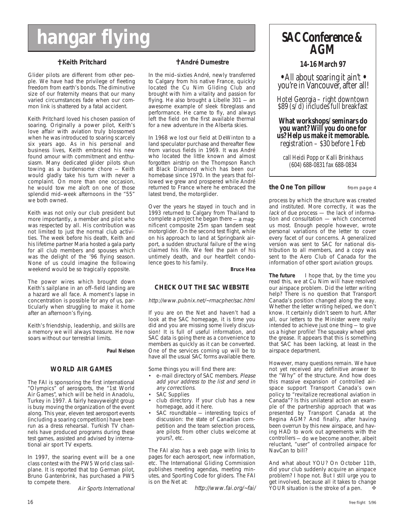# **hangar flying**

#### ✝ **Keith Pritchard**

Glider pilots are different from other people. We have had the privilege of fleeting freedom from earth's bonds. The diminutive size of our fraternity means that our many varied circumstances fade when our common link is shattered by a fatal accident.

Keith Pritchard loved his chosen passion of soaring. Originally a power pilot, Keith's love affair with aviation truly blossomed when he was introduced to soaring scarcely six years ago. As in his personal and business lives, Keith embraced his new found amour with commitment and enthusiasm. Many dedicated glider pilots shun towing as a burdensome chore — Keith would gladly take his turn with never a complaint. On more than one occasion, he would tow me aloft on one of those splendid mid–week afternoons in the "55" we both owned.

Keith was not only our club president but more importantly, a member and pilot who was respected by all. His contribution was not limited to just the normal club activities. The week before his death, Keith and his lifetime partner Maria hosted a gala party for all club members and spouses which was the delight of the '96 flying season. None of us could imagine the following weekend would be so tragically opposite.

The power wires which brought down Keith's sailplane in an off–field landing are a hazard we all face. A moment's lapse in concentration is possible for any of us, particularly when struggling to make it home after an afternoon's flying.

Keith's friendship, leadership, and skills are a memory we will always treasure. He now soars without our terrestrial limits.

#### **Paul Nelson**

#### **WORLD AIR GAMES**

The FAI is sponsoring the first international "Olympics" of aerosports, the "1st World Air Games", which will be held in Anadolu, Turkey in 1997. A fairly heavyweight group is busy moving the organization of the event along. This year, eleven test aerosport events (including a soaring competition) have been run as a dress rehearsal. Turkish TV channels have produced programs during these test games, assisted and advised by international air sport TV experts.

In 1997, the soaring event will be a one class contest with the PW5 World class sailplane. It is reported that top German pilot, Bruno Gantenbrink, has purchased a PW5 to compete there.

Air Sports International

#### ✝ **André Dumestre**

In the mid–sixties André, newly transferred to Calgary from his native France, quickly located the Cu Nim Gliding Club and brought with him a vitality and passion for flying. He also brought a Libelle 301 — an awesome example of sleek fibreglass and performance. He came to fly, and always left the field on the first available thermal for a new adventure in the Alberta skies.

In 1968 we lost our field at DeWinton to a land speculator purchase and thereafter flew from various fields in 1969. It was André who located the little known and almost forgotten airstrip on the Thompson Ranch at Black Diamond which has been our homebase since 1970. In the years that followed we grew and prospered while André returned to France where he embraced the latest trend, the motorglider.

Over the years he stayed in touch and in 1993 returned to Calgary from Thailand to complete a project he began there — a magnificent composite 25m span tandem seat motorglider. On the second test flight, while on his approach to land at Springbank airport, a sudden structural failure of the wing claimed his life. We feel the pain of his untimely death, and our heartfelt condolence goes to his family.

**Bruce Hea**

#### **CHECK OUT THE SAC WEBSITE**

http://www.pubnix.net/~rmacpher/sac.html

If you are on the Net and haven't had a look at the SAC homepage, it is time you did and you are missing some lively discussion! It is full of useful information, and SAC data is going there as a convenience to members as quickly as it can be converted. One of the services coming up will be to have all the usual SAC forms available there.

Some things you will find there are:

- e-mail directory of SAC members. Please add your address to the list and send in any corrections.
- SAC Supplies
- club directory. If your club has a new homepage, add it here.
- SAC roundtable interesting topics of discussion: the state of Canadian competition and the team selection process, are pilots from other clubs welcome at yours?, etc.

The FAI also has a web page with links to pages for each aerosport, new information, etc. The International Gliding Commission publishes meeting agendas, meeting minutes, and Sporting Code for gliders. The FAI is on the Net at:

http://www.fai.org/~fai/

## *SAC Conference & AGM*

*14-16 March 97*

*• All about soaring it ain't • you're in Vancouver, after all!*

*Hotel Georgia – right downtown \$89 (s/d) includes full breakfast*

*What workshops/seminars do you want? Will you do one for us? Help us make it memorable. registration – \$30 before 1 Feb*

*call Heidi Popp or Kalli Brinkhaus (604) 688-0831 fax 688-0834*

#### **the One Ton pillow** from page 4

process by which the structure was created and instituted. More correctly, it was the lack of due process — the lack of information and consultation — which concerned us most. Enough people however, wrote personal variations of the letter to cover every facet of our concerns. A generalized version was sent to SAC for national distribution to all members, and a copy was sent to the Aero Club of Canada for the information of other sport aviation groups.

**The future** I hope that, by the time you read this, we at Cu Nim will have resolved our airspace problem. Did the letter writing help? There is no question that Transport Canada's position changed along the way. Whether the letter writing helped, we don't know. It certainly didn't seem to hurt. After all, our letters to the Minister were really intended to achieve just one thing — to give us a higher profile! The squeaky wheel gets the grease. It appears that this is something that SAC has been lacking, at least in the airspace department.

However, many questions remain. We have not yet received any definitive answer to the "Why" of the structure. And how does this massive expansion of controlled airspace support Transport Canada's own policy to "revitalize recreational aviation in Canada"? Is this unilateral action an example of the partnership approach that was presented by Transport Canada at the Regina AGM? And finally, after having been overrun by this new airspace, and having HAD to work out agreements with the controllers — do we become another, albeit reluctant, "user" of controlled airspace for NavCan to bill?

And what about YOU? On October 11th, did your club suddenly acquire an airspace problem? I hope not. But I still urge you to get involved, because all it takes to change YOUR situation is the stroke of a pen. ❖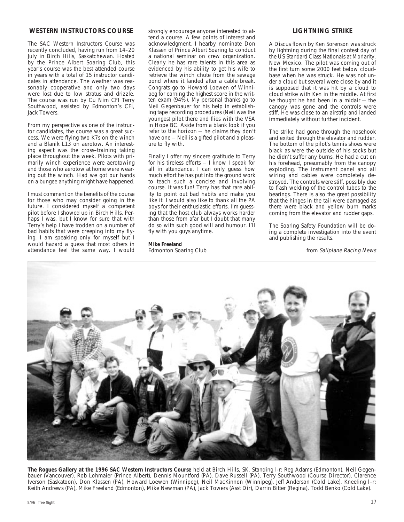#### **WESTERN INSTRUCTORS COURSE**

The SAC Western Instructors Course was recently concluded, having run from 14–20 July in Birch Hills, Saskatchewan. Hosted by the Prince Albert Soaring Club, this year's course was the best attended course in years with a total of 15 instructor candidates in attendance. The weather was reasonably cooperative and only two days were lost due to low stratus and drizzle. The course was run by Cu Nim CFI Terry Southwood, assisted by Edmonton's CFI, Jack Towers.

From my perspective as one of the instructor candidates, the course was a great success. We were flying two K7s on the winch and a Blanik L13 on aerotow. An interesting aspect was the cross–training taking place throughout the week. Pilots with primarily winch experience were aerotowing and those who aerotow at home were wearing out the winch. Had we got our hands on a bungee anything might have happened.

I must comment on the benefits of the course for those who may consider going in the future. I considered myself a competent pilot before I showed up in Birch Hills. Perhaps I was, but I know for sure that with Terry's help I have trodden on a number of bad habits that were creeping into my flying. I am speaking only for myself but I would hazard a guess that most others in attendance feel the same way. I would

strongly encourage anyone interested to attend a course. A few points of interest and acknowledgment. I hearby nominate Don Klassen of Prince Albert Soaring to conduct a national seminar on crew organization. Clearly he has rare talents in this area as evidenced by his ability to get his wife to retrieve the winch chute from the sewage pond where it landed after a cable break. Congrats go to Howard Loewen of Winnipeg for earning the highest score in the written exam (94%). My personal thanks go to Neil Gegenbauer for his help in establishing tape recording procedures (Neil was the youngest pilot there and flies with the VSA in Hope BC. Aside from a blank look if you refer to the horizon — he claims they don't have one - Neil is a gifted pilot and a pleasure to fly with.

Finally I offer my sincere gratitude to Terry for his tireless efforts - I know I speak for all in attendance. I can only guess how much effort he has put into the ground work to teach such a concise and involving course. It was fun! Terry has that rare ability to point out bad habits and make you like it. I would also like to thank all the PA boys for their enthusiastic efforts. I'm guessing that the host club always works harder than those from afar but I doubt that many do so with such good will and humour. I'll fly with you guys anytime.

#### **Mike Freeland**

Edmonton Soaring Club

#### **LIGHTNING STRIKE**

A Discus flown by Ken Sorenson was struck by lightning during the final contest day of the US Standard Class Nationals at Moriarity, New Mexico. The pilot was coming out of the first turn some 2000 feet below cloudbase when he was struck. He was not under a cloud but several were close by and it is supposed that it was hit by a cloud to cloud strike with Ken in the middle. At first he thought he had been in a midair — the canopy was gone and the controls were stiff. He was close to an airstrip and landed immediately without further incident.

The strike had gone through the nosehook and exited through the elevator and rudder. The bottom of the pilot's tennis shoes were black as were the outside of his socks but he didn't suffer any burns. He had a cut on his forehead, presumably from the canopy exploding. The instrument panel and all wiring and cables were completely destroyed. The controls were stiff, possibly due to flash welding of the control tubes to the bearings. There is also the great possibility that the hinges in the tail were damaged as there were black and yellow burn marks coming from the elevator and rudder gaps.

The Soaring Safety Foundation will be doing a complete investigation into the event and publishing the results.

from Sailplane Racing News



**The Rogues Gallery at the 1996 SAC Western Instructors Course** held at Birch Hills, SK. Standing l-r: Reg Adams (Edmonton), Neil Gegenbauer (Vancouver), Rob Lohmaier (Prince Albert), Dennis Mountford (PA), Dave Russell (PA), Terry Southwood (Course Director), Clarence Iverson (Saskatoon), Don Klassen (PA), Howard Loewen (Winnipeg), Neil MacKinnon (Winnipeg), Jeff Anderson (Cold Lake). Kneeling l–r: Keith Andrews (PA), Mike Freeland (Edmonton), Mike Newman (PA), Jack Towers (Asst Dir), Darrin Bitter (Regina), Todd Benko (Cold Lake).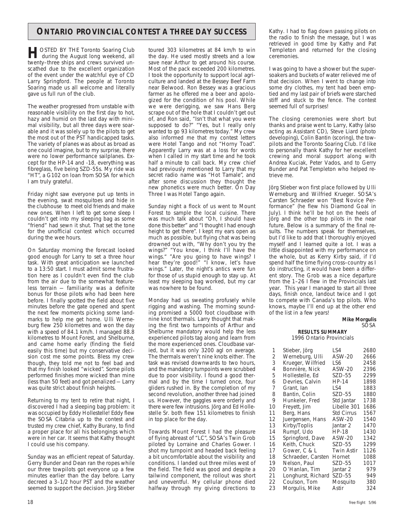#### **ONTARIO PROVINCIAL CONTEST A THREE DAY SUCCESS** | Kathy. I had to flag down passing pilots on

**HOSTED BY THE Toronto Soaring Club**<br>
during the August long weekend, all<br>
turns three objects and group supplied up twenty–three ships and crews survived unscathed due to the excellent organization of the event under the watchful eye of CD Larry Springford. The people at Toronto Soaring made us all welcome and literally gave us full run of the club.

The weather progressed from unstable with reasonable visibility on the first day to hot, hazy and humid on the last day with minimal visibility, but all three days were soarable and it was solely up to the pilots to get the most out of the PST handicapped tasks. The variety of planes was about as broad as one could imagine, but to my surprise, there were no lower performance sailplanes. Except for the HP-14 and -18, everything was fibreglass, five being SZD-55s. My ride was "HT", a G102 on loan from SOSA for which I am truly grateful.

Friday night saw everyone put up tents in the evening, swat mosquitoes and hide in the clubhouse to meet old friends and make new ones. When I left to get some sleep I couldn't get into my sleeping bag as some "friend" had sewn it shut. That set the tone for the unofficial contest which occurred during the wee hours.

On Saturday morning the forecast looked good enough for Larry to set a three hour task. With great anticipation we launched to a 13:50 start. I must admit some frustration here as I couldn't even find the club from the air due to the somewhat featureless terrain — familiarity was a definite bonus for those pilots who had been here before. I finally spotted the field about five minutes before the gate opened and spent the next few moments picking some landmarks to help me get home. Ulli Werneburg flew 250 kilometres and won the day with a speed of 84.1 km/h. I managed 88.8 kilometres to Mount Forest, and Shelburne, and came home early (finding the field easily this time) but my conservative decision cost me some points. Bless my crew though, they told me not to feel bad and that my finish looked "wicked". Some pilots performed finishes more wicked than mine (less than 50 feet) and got penalized — Larry was quite strict about finish heights.

Returning to my tent to retire that night, I discovered I had a sleeping bag problem: it was occupied by Eddy Hollestelle! Eddy flew the SOSA Citabria up to the contest and trusted my crew chief, Kathy Burany, to find a proper place for all his belongings which were in her car. It seems that Kathy thought I could use his company.

Sunday was an efficient repeat of Saturday. Gerry Bunder and Dean ran the ropes while our three towpilots got everyone up a few minutes earlier than the day before. Larry decreed a 3–1/2 hour PST and the weather seemed to support the decision. Jörg Stieber

toured 303 kilometres at 84 km/h to win the day. He used mostly streets and a low save near Arthur to get around his course. Most of the pack exceeded 200 kilometres. I took the opportunity to support local agriculture and landed at the Bessey Beef Farm near Belwood. Ron Bessey was a gracious farmer as he offered me a beer and apologized for the condition of his pool. While we were derigging, we saw Hans Berg scrape out of the hole that I couldn't get out of, and Ron said, "Isn't that what you were supposed to do?" "Yes, but I really only wanted to go 93 kilometres today." My crew also informed me that my contest letters were Hotel Tango and not "Horny Toad". Apparently Larry was at a loss for words when I called in my start time and he took half a minute to call back. My crew chief had previously mentioned to Larry that my secret radio name was "Hot Tamale", and after some discussion they thought the new phonetics were much better. On Day Three I was Hotel Tango again.

Sunday night a flock of us went to Mount Forest to sample the local cuisine. There was much talk about "Oh, I should have done this better" and "I thought I had enough height to get there". I kept my ears open as much as possible, but flying chat was being drowned out with, "Why don't you try the wings?" "You know, I think I'll have the wings." "Are you going to have wings? I hear they're good!" "I know, let's have wings." Later, the night's antics were fun for those of us stupid enough to stay up. At least my sleeping bag worked, but my car was nowhere to be found.

Monday had us sweating profusely while rigging and washing. The morning sounding promised a 5000 foot cloudbase with nine knot thermals. Larry thought that making the first two turnpoints of Arthur and Shelburne mandatory would help the less experienced pilots tag along and learn from the more experienced ones. Cloudbase varied, but it was only 3200 agl on average. The thermals weren't nine knots either. The task was revised downwards to two hours, and the mandatory turnpoints were scrubbed due to poor visibility. I found a good thermal and by the time I turned once, four gliders rushed in. By the completion of my second revolution, another three had joined us. However, the gaggles were orderly and there were few intrusions. Jörg and Ed Hollestelle Sr. both flew 151 kilometres to finish in top place for the day.

Towards Mount Forest I had the pleasure of flying abreast of "LC", SOSA's Twin Grob piloted by Lorraine and Charles Gower. I shot my turnpoint and headed back feeling a bit uncomfortable about the visibility and conditions. I landed out three miles west of the field. The field was good and despite a tailwind component, the rollout was short and uneventful. My cellular phone died halfway through my giving directions to

the radio to finish the message, but I was retrieved in good time by Kathy and Pat Templeton and returned for the closing ceremonies.

I was going to have a shower but the supersoakers and buckets of water relieved me of that decision. When I went to change into some dry clothes, my tent had been emptied and my last pair of briefs were starched stiff and stuck to the fence. The contest seemed full of surprises!

The closing ceremonies were short but thanks and praise went to Larry, Kathy (also acting as Assistant CD), Steve Liard (photo developing), Colin Bantin (scoring), the towpilots and the Toronto Soaring Club. I'd like to personally thank Kathy for her excellent crewing and moral support along with Andrea Kuciak, Peter Vados, and to Gerry Bunder and Pat Templeton who helped retrieve me.

Jörg Stieber won first place followed by Ulli Werneburg and Wilfried Krueger. SOSA's Carsten Schraeder won "Best Novice Performance" (he flew his Diamond Goal in July). I think he'll be hot on the heels of Jörg and the other top pilots in the near future. Below is a summary of the final results. The numbers speak for themselves, but I'd like to add that I thoroughly enjoyed myself and I learned quite a lot. I was a little disappointed with my performance on the whole, but as Kerry Kirby said, if I'd spend half the time flying cross–country as I do instructing, it would have been a different story. The Grob was a nice departure from the 1–26 I flew in the Provincials last year. This year I managed to start all three days, finish once, landout twice and I got to compete with Canada's top pilots. Who knows, maybe I'll end up at the other end of the list in a few years!

#### **Mike Morgulis** SOSA

#### **RESULTS SUMMARY** 1996 Ontario Provincials

| 1  | Stieber, Jörg      | LS4               | 2680 |
|----|--------------------|-------------------|------|
| 2  | Werneburg, Ulli    | ASW-20            | 2666 |
| 3  | Krueger, Wilfried  | LS6               | 2458 |
| 4  | Bonnière, Nick     | ASW-20            | 2396 |
| 5  | Hollestelle, Ed    | SZD-55            | 2299 |
| 6  | Devries, Calvin    | HP-14             | 1898 |
| 7  | Grant, Ian         | LS4               | 1883 |
| 8  | Bantin, Colin      | SZD-55            | 1880 |
| 9  | Hunkeler, Fred     | Std Jantar        | 1738 |
| 10 | Freyett, Jim       | Libelle 301       | 1686 |
| 11 | Berg, Hans         | Std Cirrus        | 1567 |
| 12 | Juergensen, Hans   | ASW-20            | 1540 |
| 13 | Kirby/Toplis       | Jantar 2          | 1470 |
| 14 | Rumpf, Udo         | HP-18             | 1430 |
| 15 | Springford, Dave   | ASW-20            | 1342 |
| 16 | Keith, Chuck       | SZD-55            | 1299 |
| 17 | Gower, C & L       | <b>Twin Astir</b> | 1126 |
| 18 | Schraeder, Carsten | Hornet            | 1088 |
| 19 | Nelson, Paul       | SZD-55            | 1017 |
| 20 | O'Hanlan, Tim      | Jantar 2          | 979  |
| 21 | Longhurst, Richard | SZD-55            | 949  |
| 22 | Coulson, Tom       | Mosquito          | 380  |
| 23 | Morgulis, Mike     | Astir             | 324  |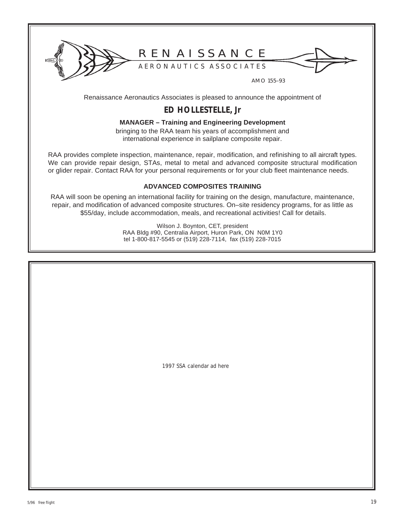

## R E N A I S S A N C E

A E R O N A U T I C S A S S O C I A T E S

AMO 155–93

Renaissance Aeronautics Associates is pleased to announce the appointment of

## **ED HOLLESTELLE, Jr**

#### **MANAGER – Training and Engineering Development**

bringing to the RAA team his years of accomplishment and international experience in sailplane composite repair.

RAA provides complete inspection, maintenance, repair, modification, and refinishing to all aircraft types. We can provide repair design, STAs, metal to metal and advanced composite structural modification or glider repair. Contact RAA for your personal requirements or for your club fleet maintenance needs.

#### **ADVANCED COMPOSITES TRAINING**

RAA will soon be opening an international facility for training on the design, manufacture, maintenance, repair, and modification of advanced composite structures. On–site residency programs, for as little as \$55/day, include accommodation, meals, and recreational activities! Call for details.

> Wilson J. Boynton, CET, president RAA Bldg #90, Centralia Airport, Huron Park, ON N0M 1Y0 tel 1-800-817-5545 or (519) 228-7114, fax (519) 228-7015

> > 1997 SSA calendar ad here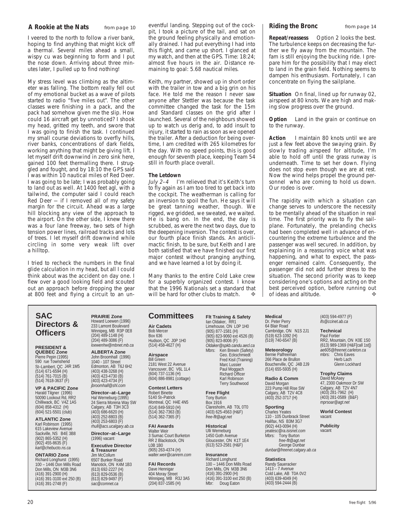#### **A Rookie at the Nats** from page 10

I veered to the north to follow a river bank, hoping to find anything that might kick off a thermal. Several miles ahead a small, wispy cu was beginning to form and I put the nose down. Arriving about three minutes later, I pulled up to find nothing!

My stress level was climbing as the altimeter was falling. The bottom really fell out of my emotional bucket as a wave of pilots started to radio "five miles out". The other classes were finishing in a pack, and the pack had somehow given me the slip. How could 16 aircraft get by unnoticed? I shook my head, gritted my teeth, and swore that I was going to finish the task. I continued my small course deviations to overfly hills, river banks, concentrations of dark fields, working anything that might be giving lift. I let myself drift downwind in zero sink here, gained 100 feet thermalling there. I struggled and fought, and by 18:10 the GPS said I was within 10 nautical miles of Red Deer. I was going to be late; I was probably going to land out as well. At 1400 feet agl, with a tailwind, the computer said I could reach Red Deer — if I removed all of my safety margin for the circuit. Ahead was a large hill blocking any view of the approach to the airport. On the other side, I knew there was a four lane freeway, two sets of high tension power lines, railroad tracks and lots of trees. I let myself drift downwind while circling in some very weak lift over a hilltop.

I tried to recheck the numbers in the final glide calculation in my head, but all I could think about was the accident on day one. I flew over a good looking field and scouted out an approach before dropping the gear at 800 feet and flying a circuit to an un-

**SAC Directors & Officers**

**PRESIDENT & QUEBEC Zone** Pierre Pepin (1995) 590 rue Townshend St–Lambert, QC J4R 1M5 (514) 671-6594 (H) (514) 761-7015 (B) (514) 7618-3637 (F)

**VP & PACIFIC Zone** Harald Tilgner (1996) 50090 Lookout Rd, RR2 Chilliwack, BC V4Z 1A5 (604) 858-4312 (H) (604) 521-5501 (club)

**ATLANTIC Zone** Karl Robinson (1995) 615 Lakeview Avenue Sackville, NS B4E 3B8 (902) 865-5352 (H) (902) 455-8635 (F) *karl@chebucto.ns.ca*

**ONTARIO Zone** Richard Longhurst (1995) 100 – 1446 Don Mills Road Don Mills, ON M3B 3N6 (416) 391-2900 (H) (416) 391-3100 ext 250 (B) (416) 391-2748 (F)

**PRAIRIE Zone** Howard Loewen (1996) 233 Lamont Boulevard Winnipeg, MB R3P 0E8 (204) 489-1148 (H) (204) 489-3086 (F) *loewenhw@mbnet.mb.ca*

**ALBERTA Zone** John Broomhall (1996) 1040 - 107 Street Edmonton, AB T6J 6H2 (403) 438-3268 (H)  $(403)$  423-4730 $(B)$ (403) 423-4734 (F) *jbroomhall@shl.com*

**Director–at–Large** Hal Werneburg (1995) 24 Sierra Morena Way SW Calgary, AB T3H 3C3 (403) 686-6620 (H) (403) 252-8803 (B) (403) 253-6803 (F) *rhull@acs.ucalgary.ab.ca*

**Director–at–Large** (1996) vacant

**Executive Director & Treasurer** Jim McCollum 6507 Bunker Road Manotick, ON K4M 1B3 (613) 692-2227 (H) (613) 829-0536 (B) (613) 829-9497 (F) *sac@comnet.ca*

eventful landing. Stepping out of the cockpit, I took a picture of the tail, and sat on the ground feeling physically and emotionally drained. I had put everything I had into this flight, and came up short. I glanced at my watch, and then at the GPS. Time: 18:24; almost five hours in the air. Distance remaining to goal: 5.68 nautical miles.

Keith, my partner, showed up in short order with the trailer in tow and a big grin on his face. He told me the reason I never saw anyone after Stettler was because the task committee changed the task for the 15m and Standard classes on the grid after I launched. Several of the neighbours showed up to watch us derig and, to add insult to injury, it started to rain as soon as we opened the trailer. After a deduction for being overtime, I am credited with 265 kilometres for the day. With no speed points, this is good enough for seventh place, keeping Team 54 still in fourth place overall.

#### **The Letdown**

July 2-4 I'm relieved that it's Keith's turn to fly again as I am too tired to get back into the cockpit. The weatherman is calling for an inversion to spoil the fun. He says it will be great tanning weather, though. We rigged, we gridded, we sweated, we waited. He is bang on. In the end, the day is scrubbed, as were the next two days, due to the deepening inversion. The contest is over, our fourth place finish stands. An anticlimactic finish, to be sure, but Keith and I are both satisfied that we have finished our first major contest without pranging anything, and we have learned a lot by doing it.

Many thanks to the entire Cold Lake crew for a superbly organized contest. I know that the 1996 Nationals set a standard that will be hard for other clubs to match will be hard for other clubs to match.

#### **Committees**

**Air Cadets** Bob Mercer Box 636 Hudson, QC J0P 1H0 (514) 458-4627 (H)

#### **Airspace**

Bill Green 2181 West 22 Avenue Vancouver, BC V6L 1L4 (604) 737-1136 (H) (604) 886-8981 (cottage)

**Contest Letters** Robert Binette 5140 St–Patrick Montreal, QC H4E 4N5 (514) 849-5910 (H) (514) 362-7363 (B) (514) 362-7365 (F)

**FAI Awards** Walter Weir 3 Sumac Court Burketon RR 2 Blackstock, ON L0B 1B0 (905) 263-4374 (H) *walter.weir@canrem.com*

**FAI Records** Dave Hennigar 404 Moray Street Winnipeg, MB R3J 3A5 (204) 837-1585 (H)

**Flt Training & Safety** Ian Oldaker, RR1 Limehouse, ON L0P 1H0 (905) 877-1581 (H) (905) 823-9060 ext 4526 (B) (905) 823-8006 (F) *Oldaker@spkb.candu.aecl.ca* Mbrs: Ken Brewin (Safety) Geo. Eckschmiedt Fred Kisil (Training) Marc Lussier Paul Moggach Richard Officer Karl Robinson Terry Southwood

#### **Free Flight** Tony Burton Box 1916 Claresholm, AB T0L 0T0 (403) 625-4563 (H&F) *free-flt@agt.net*

**Historical** Ulli Werneburg 1450 Goth Avenue Gloucester, ON K1T 1E4 (613) 523-2581 (H&F)

**Insurance** Richard Longhurst 100 – 1446 Don Mills Road Don Mills, ON M3B 3N6 (416) 391-2900 (H) (416) 391-3100 ext 250 (B) Doug Eaton

**Medical** Dr. Peter Perry 64 Blair Road Cambridge, ON N1S 2J1 (519) 623-1092 (H) (519) 740-6547 (B)

#### **Meteorology** Bernie Palfreeman 266 Place de Brullon Boucherville, QC J4B 2J9 (514) 655-5935 (H)

**Radio & Comm** David Morgan 223 Pump Hill Rise SW Calgary, AB T2V 4C8 (403) 252-3717 (H)

**Sporting** Charles Yeates 110 - 105 Dunbrack Street Halifax, NS B3M 3G7 (902) 443-0094 (H) *yeatesc@ra.isisnet.com* Mbrs: Tony Burton *free-flt@agt.net* George Dunbar

*dunbar@freenet.calgary.ab.ca*

#### **Statistics**

Randy Saueracker 1413 – 7 Avenue Cold Lake, AB T0A 0V2 (403) 639-4049 (H)  $(403)$  594-2444 $(B)$ 

**Riding the Bronc** from page 14

**Repeat/reassess** Option 2 looks the best. The turbulence keeps on decreasing the further we fly away from the mountain. The fam is still enjoying the bucking ride. I prepare him for the possibility that I may elect to land in the grain field. Nothing seems to dampen his enthusiasm. Fortunately, I can concentrate on flying the sailplane.

**Situation** On final, lined up for runway 02, airspeed at 80 knots. We are high and making slow progress over the ground.

**Option** Land in the grain or continue on to the runway.

**Action** I maintain 80 knots until we are just a few feet above the swaying grain. By slowly trading airspeed for altitude, I'm able to hold off until the grass runway is underneath. Time to set her down. Flying does not stop even though we are at rest. Now the wind helps propel the ground personnel who are coming to hold us down. Our rodeo is over.

The rapidity with which a situation can change serves to underscore the necessity to be mentally ahead of the situation in real time. The first priority was to fly the sailplane. Fortunately, the prelanding checks had been completed well in advance of encountering the extreme turbulence and the passenger was well secured. In addition, by explaining in a reassuring voice what was happening, and what to expect, the passenger remained calm. Consequently, the passenger did not add further stress to the situation. The second priority was to keep considering one's options and acting on the best perceived option, before running out of ideas and altitude. of ideas and altitude.

> (403) 594-4977 (F) *ifs@ccinet.ab.ca*

#### **Technical**

Paul Fortier RR2, Mountain, ON K0E 1S0 (613) 989-1369 (H&F[call 1st]) *ae605@freenet.carleton.ca* Chris Eaves Herb Lach Glenn Lockhard

#### **Trophy Claims**

David McAsey 47, 2300 Oakmoor Dr SW Calgary, AB T2V 4N7 (403) 281-7962 (H) (403) 281-0589 (B&F) *mprsoar@agt.net*

#### **World Contest** vacant

**Publicity** vacant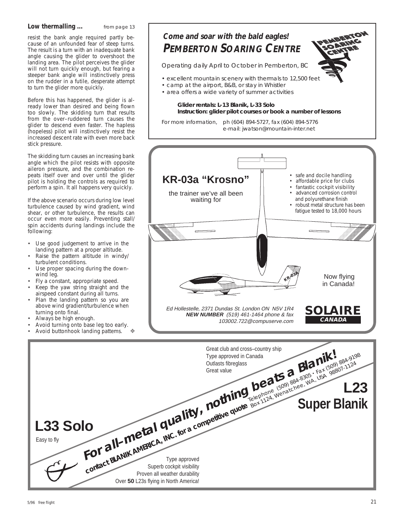#### **Low thermalling ...** from page 13

resist the bank angle required partly because of an unfounded fear of steep turns. The result is a turn with an inadequate bank angle causing the glider to overshoot the landing area. The pilot perceives the glider will not turn quickly enough, but fearing a steeper bank angle will instinctively press on the rudder in a futile, desperate attempt to turn the glider more quickly.

Before this has happened, the glider is already lower than desired and being flown too slowly. The skidding turn that results from the over–ruddered turn causes the glider to descend even faster. The hapIess (hopeless) pilot will instinctively resist the increased descent rate with even more back stick pressure.

The skidding turn causes an increasing bank angle which the pilot resists with opposite aileron pressure, and the combination repeats itself over and over until the glider pilot is holding the controls as required to perform a spin. It all happens very quickly.

If the above scenario occurs during low level turbulence caused by wind gradient, wind shear, or other turbulence, the results can occur even more easily. Preventing stall/ spin accidents during landings include the following:

- Use good judgement to arrive in the landing pattern at a proper altitude.
- Raise the pattern altitude in windy/ turbulent conditions.
- Use proper spacing during the downwind leg.
- Fly a constant, appropriate speed.
- Keep the yaw string straight and the airspeed constant during all turns.
- Plan the landing pattern so you are above wind gradient/turbulence when turning onto final.
- Always be high enough.
- Avoid turning onto base leg too early.
- Avoid buttonhook landing pattems.



Operating daily April to October in Pemberton, BC

- excellent mountain scenery with thermals to 12,500 feet
- camp at the airport, B&B, or stay in Whistler
- area offers a wide variety of summer activities

#### **Glider rentals: L-13 Blanik, L-33 Solo Instruction: glider pilot courses or book a number of lessons**

For more information, ph (604) 894-5727, fax (604) 894-5776 e-mail: jwatson@mountain-inter.net



Easy to fly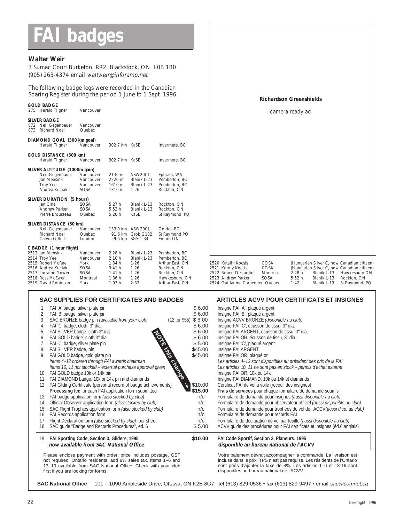## **FAI badges**

#### **Walter Weir**

3 Sumac Court Burketon, RR2, Blackstock, ON L0B 1B0 (905) 263-4374 email waltweir@inforamp.net

The following badge legs were recorded in the Canadian Soaring Register during the period 1 June to 1 Sept 1996.

| <u>JUANING INCLUSION CONTINUES DENOUS INJUITE TO A JEPTE 1770.</u>                                                                                                        |                                                                    |                                                                |                                                                                        |                                                                                                                      |                                                                                                                               | <b>Richardson Greenshields</b>   |                         |                                           |                                                                                                                                            |
|---------------------------------------------------------------------------------------------------------------------------------------------------------------------------|--------------------------------------------------------------------|----------------------------------------------------------------|----------------------------------------------------------------------------------------|----------------------------------------------------------------------------------------------------------------------|-------------------------------------------------------------------------------------------------------------------------------|----------------------------------|-------------------------|-------------------------------------------|--------------------------------------------------------------------------------------------------------------------------------------------|
| <b>GOLD BADGE</b><br>275 Harald Tilgner                                                                                                                                   | Vancouver                                                          |                                                                |                                                                                        |                                                                                                                      |                                                                                                                               |                                  | camera ready ad         |                                           |                                                                                                                                            |
| <b>SILVER BADGE</b><br>872 Neil Gegenbauer<br>873 Richard Noel                                                                                                            | Vancouver<br>Quebec                                                |                                                                |                                                                                        |                                                                                                                      |                                                                                                                               |                                  |                         |                                           |                                                                                                                                            |
| DIAMOND GOAL (300 km goal)<br>Harald Tilgner                                                                                                                              | Vancouver                                                          | 302.7 km Ka6E                                                  |                                                                                        | Invermere, BC                                                                                                        |                                                                                                                               |                                  |                         |                                           |                                                                                                                                            |
| GOLD DISTANCE (300 km)<br>Harald Tilgner                                                                                                                                  | Vancouver                                                          | 302.7 km Ka6E                                                  |                                                                                        | Invermere, BC                                                                                                        |                                                                                                                               |                                  |                         |                                           |                                                                                                                                            |
| SILVER ALTITUDE (1000m gain)<br>Neil Gegenbauer<br>Jan Mensink<br><b>Troy Yee</b><br>Andrea Kuciak                                                                        | Vancouver<br>Vancouver<br>Vancouver<br>SOSA                        | 2130 m<br>2220 m<br>1610 m<br>1310 m                           | ASW20CL<br>Blanik L-23<br>Blanik L-23<br>$1 - 26$                                      | Ephrata, WA<br>Pemberton, BC<br>Pemberton, BC<br>Rockton, ON                                                         |                                                                                                                               |                                  |                         |                                           |                                                                                                                                            |
| SILVER DURATION (5 hours)<br>Jan Cina<br>Andrew Parker<br>Pierre Brousseau                                                                                                | SOSA<br>SOSA<br>Quebec                                             | 5:27h<br>5:52 h<br>5:20h                                       | Blanik L-13<br>Blanik L-13<br>Ka6E                                                     | Rockton, ON<br>Rockton, ON<br>St Raymond, PQ                                                                         |                                                                                                                               |                                  |                         |                                           |                                                                                                                                            |
| SILVER DISTANCE (50 km)<br>Neil Gegenbauer<br><b>Richard Noel</b><br>Calvin Gillett                                                                                       | Vancouver<br>Quebec<br>London                                      |                                                                | 133.0 km ASW20CL<br>91.6 km Grob G102<br>59.5 km SGS 1-34                              | Golden BC<br>St Raymond PQ<br>Fmbro ON                                                                               |                                                                                                                               |                                  |                         |                                           |                                                                                                                                            |
| C BADGE (1 hour flight)<br>2513 Jan Mensink<br>2514 Troy Yee<br>2515 Robert McRae<br>2516 Andrea Kuciak<br>2517 Lorraine Gower<br>2518 Ross McEwen<br>2519 David Robinson | Vancouver<br>Vancouver<br>York<br>SOSA<br>SOSA<br>Montreal<br>York | 2:28h<br>2:10h<br>1:34 h<br>3:41h<br>1:41 h<br>1:36 h<br>1:03h | Blanik L-23<br>Blanik L-23<br>$1 - 26$<br>$1 - 26$<br>$1 - 26$<br>$1 - 26$<br>$2 - 33$ | Pemberton, BC<br>Pemberton, BC<br>Arthur East, ON<br>Rockton, ON<br>Rockton, ON<br>Hawkesbury, ON<br>Arthur East, ON | 2520 Katalin Kocsis<br>2521 Koroly Kocsis<br>2522 Robert Desjardins<br>2523 Andrew Parker<br>2524 Guillaume Carpentier Quebec | COSA<br>COSA<br>Montreal<br>SOSA | 2:28h<br>5:52 h<br>1:42 | Blanik L-13<br>Blanik L-13<br>Blanik L-13 | (Hungarian Silver C, now Canadian citizen)<br>(Hungarian Silver C, now Canadian citizen)<br>Hawkesbury ON<br>Rockton, ON<br>St Raymond, PQ |

#### SAC SUPPLIES FOR CERTIFICATES AND BADGES **ARTICLES ACVV POUR CERTIFICATS ET INSIGNES**

|    | FAI 'A' badge, silver plate pin<br>FAI 'B' badge, silver plate pin<br>SAC BRONZE badge pin (available from your club)                                                                                                                       | \$6.00<br>\$6.00<br>$(12$ for \$55) \$ 6.00 | Insigne FAI 'A', plaqué argent<br>Insigne FAI 'B', plaqué argent<br>Insigne ACVV BRONZE (disponible au club)                                                                                                                                                   |
|----|---------------------------------------------------------------------------------------------------------------------------------------------------------------------------------------------------------------------------------------------|---------------------------------------------|----------------------------------------------------------------------------------------------------------------------------------------------------------------------------------------------------------------------------------------------------------------|
| 4  | FAI 'C' badge, cloth, 3" dia.                                                                                                                                                                                                               | \$6.00                                      | Insigne FAI 'C', écusson de tissu, 3" dia.                                                                                                                                                                                                                     |
| 5  | FAI SILVER badge, cloth 3" dia.                                                                                                                                                                                                             | \$6.00                                      | Insigne FAI ARGENT, écusson de tissu, 3" dia.                                                                                                                                                                                                                  |
| 6  | FAI GOLD badge, cloth 3" dia.                                                                                                                                                                                                               | \$6.00                                      | Insigne FAI OR, écusson de tissu, 3" dia.                                                                                                                                                                                                                      |
|    | FAI 'C' badge, silver plate pin                                                                                                                                                                                                             | \$5.00                                      | Insigne FAI 'C', plaqué argent                                                                                                                                                                                                                                 |
| 8  | FAI SILVER badge, pin                                                                                                                                                                                                                       | \$45.00                                     | Insigne FAI ARGENT                                                                                                                                                                                                                                             |
| 9  | FAI GOLD badge, gold plate pin                                                                                                                                                                                                              | \$45.00                                     | Insigne FAI OR, plaqué or                                                                                                                                                                                                                                      |
|    | Items 4-12 ordered through FAI awards chairman                                                                                                                                                                                              |                                             | Les articles 4-12 sont disponibles au président des prix de la FAI                                                                                                                                                                                             |
|    | Items 10, 11 not stocked - external purchase approval given                                                                                                                                                                                 |                                             | Les articles 10, 11 ne sont pas en stock – permis d'achat externe                                                                                                                                                                                              |
| 10 | FAI GOLD badge 10k or 14k pin                                                                                                                                                                                                               | change                                      | Insigne FAI OR, 10k ou 14k                                                                                                                                                                                                                                     |
| 11 | FAI DIAMOND badge, 10k or 14k pin and diamonds                                                                                                                                                                                              |                                             | Insigne FAI DIAMAND, 10k ou 14k et diamands                                                                                                                                                                                                                    |
| 12 | FAI Gliding Certificate (personal record of badge achievements)                                                                                                                                                                             | \$10.00                                     | Certificat FAI de vol à voile (receuil des insignes)                                                                                                                                                                                                           |
|    | Processing fee for each FAI application form submitted                                                                                                                                                                                      | \$15.00                                     | Frais de services pour chaque formulaire de demande soumis                                                                                                                                                                                                     |
| 13 | FAI badge application form (also stocked by club)                                                                                                                                                                                           | n/c                                         | Formulaire de demande pour insignes (aussi disponible au club)                                                                                                                                                                                                 |
| 14 | Official Observer application form (also stocked by club)                                                                                                                                                                                   | n/c                                         | Formulaire de demande pour observateur officiel (aussi disponible au club)                                                                                                                                                                                     |
| 15 | SAC Flight Trophies application form (also stocked by club)                                                                                                                                                                                 | n/c                                         | Formulaire de demande pour trophées de vol de l'ACCV (aussi disp. au club)                                                                                                                                                                                     |
| 16 | FAI Records application form                                                                                                                                                                                                                | n/c                                         | Formulaire de demande pour records FAI                                                                                                                                                                                                                         |
| 17 | Flight Declaration form (also stocked by club) per sheet                                                                                                                                                                                    | n/c                                         | Formulaire de déclaration de vol par feuille (aussi disponible au club)                                                                                                                                                                                        |
| 18 | SAC quide "Badge and Records Procedures", ed. 6                                                                                                                                                                                             | \$5.00                                      | ACVV quide des procédures pour FAI certificats et insignes (éd.6 anglais)                                                                                                                                                                                      |
| 19 | FAI Sporting Code, Section 3, Gliders, 1995<br>now available from SAC National Office                                                                                                                                                       | \$10.00                                     | FAI Code Sportif, Section 3, Planeurs, 1995<br>disponible au bureau national de l'ACVV                                                                                                                                                                         |
|    | Please enclose payment with order; price includes postage. GST<br>not required. Ontario residents, add 8% sales tax. Items 1-6 and<br>13-19 available from SAC National Office. Check with your club<br>first if you are looking for forms. |                                             | Votre paiement dévrait accompagner la commande. La livraison est<br>incluse dans le prix. TPS n'est pas requise. Les résidents de l'Ontario<br>sont priés d'ajouter la taxe de 8%. Les articles 1–6 et 13-19 sont<br>disponibles au bureau national de l'ACVV. |

**SAC National Office**, 101 – 1090 Ambleside Drive, Ottawa, ON K2B 8G7 tel (613) 829-0536 • fax (613) 829-9497 • email sac@comnet.ca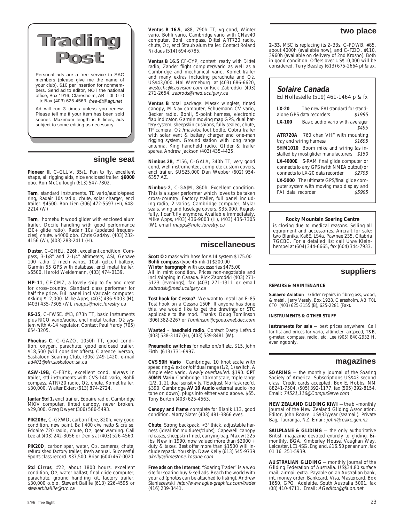## **Trading Trading Post Post**

Personal ads are a free service to SAC members (please give me the name of your club). \$10 per insertion for nonmembers. Send ad to editor, NOT the national office, Box 1916, Claresholm, AB T0L 0T0 tel/fax (403) 625-4563, free-flt@agt.net

Ad will run 3 times unless you renew. Please tell me if your item has been sold sooner. Maximum length is 6 lines, ads subject to some editing as necessary.

#### **single seat**

**Pioneer II**, C–GLUV, 35/1. Fun to fly, excellent shape, all rigging aids, nice enclosed trailer. **\$6000** obo. Ron McCullough (613) 547-7802.

**Tern**, standard instruments, TE vario/audio/speed ring, Radair 10s radio, chute, solar charger, encl trailer. \$4500. Ron Lien (306) 472-5597 (H), 648- 2214 (W)

**Tern**, homebuilt wood glider with enclosed alum trailer. Docile handling with good performance (30+ glide ratio). Radair 10s (updated frequen-cies), chute. \$4000 obo. Chris Gadsby, (403) 232- 4156 (W), (403) 283-2411 (H).

**Duster**, C–GHEU, 226h, excellent condition. Compass, 3-1/8" and 2-1/4" altimeters, ASI, Genave 100 radio, 2 mech varios, 10ah gelcell battery, Garmin 55 GPS with database, encl metal trailer. \$6500. Harold Weidemann, (403) 474-0139.

**HP–11**, CF-CMZ, a lovely ship to fly and great for cross–country. Standard class performer for half the price. Full panel incl Varicalc computer. Asking \$12,000. Mike Apps, (403) 436-9003 (H), (403) 435-7305 (W), mapps@nofc.forestry.ca

**RS-15**, C–FWSE, #43, 873h TT, basic instruments plus RICO vario/audio, encl metal trailer, O2 system with A-14 regulator. Contact Paul Yardy (705) 654-3205.

**Phoebus C**, C–GAZO, 1050h TT, good condition, oxygen, parachute, good enclosed trailer. \$18,500 (will consider offers). Clarence Iverson, Saskatoon Soaring Club, (306) 249-1420. e-mail ad401@sfn.saskatoon.sk.ca

**ASW-19B**, C–FBYK, excellent cond, always in trailer, std instruments with CVS-140 vario, Bohli compass, ATR720 radio, O2, chute, Komet trailer. \$30,000. Walter Ekiert (613) 874-2724.

**Jantar Std 1,** encl trailer, Edoaire radio, Cambridge MKIV computer, tinted canopy, never broken. \$29,800. Greg Dwyer (306) 586-5493.

**PIK20Bc**, C–GXWD, carbon fibre, 820h, very good condition, new paint, Ball 400 c/w netto & cruise, Edoaire 720 radio, chute, O2, gear warning. Call Lee at (403) 242-3056 or Denis at (403) 526-4560.

PIK20D, carbon spar, water, O2, cameras, chute, refurbished factory trailer, fresh annual. Successful Sports class record. \$37,500. Brian (604) 467-0020.

**Std Cirrus**, #22, about 1800 hours, excellent condition, O2, water ballast, final glide computer, parachute, ground handling kit, factory trailer. \$30,000 o.b.o. Stewart Baillie (613) 226-4595 or stewart.baillie@nrc.ca

**Ventus B 16.5**, #88, 790h TT, vg cond, Winter vario, Bohli vario, Cambridge vario with CNav40 computer, Bohli compass, Dittel ART720 radio, chute, O2, encl Straub alum trailer. Contact Roland Niklaus (514) 694-6785.

**Ventus B 16.5** CF-CYP, contest ready with Dittel radio, Zander flight computer/vario as well as a Cambridge and mechanical vario. Komet trailer and many extras including parachute and O2. US\$43,000. Hal Werneburg at (403) 686-6620, westechc@cadvision.com or Rick Zabrodski (403) 271-2654, zabrods@med.ucalgary.ca

**Ventus B** total package: Masak winglets, tinted canopy, M Nav computer, Schuemann CV vario, Becker radio, Bohli, 5-point harness, electronic flap indicator, Garmin moving map GPS, dual battery system, sheepskin cushions, fully sealed, chute, TP camera, O2 /mask/bailout bottle, Cobra trailer with solar vent & battery charger and one-man rigging system. Ground station with long range antenna, King handheld radio. Glider & trailer spares. Andrew Jackson (403) 435-4425.

**Nimbus 2B**, #156, C–GALA, 340h TT, very good cond, well instrumented, complete custom covers, encl trailer. \$US25,000 Dan Webber (602) 954- 6357 AZ.

**Nimbus–2**, C-GAJM, 860h. Excellent condition. This is a super performer which loves to be taken cross–country. Factory trailer, full panel including radio, 2 varios, Cambridge computer, Mylar seals, wing and fuselage covers. \$35,000. Regretfully, I can't fly anymore. Available immediately. Mike Apps, (403) 436-9003 (H), (403) 435-7305 (W), email mapps@nofc.forestry.ca

#### **miscellaneous**

**Scott O2** mask with hose for A14 system \$175.00 **Bohli compass** (type 46-mk-1) \$200.00 **Winter barograph** with accessories \$475.00 All in mint condition. Prices non-negotiable and incl shipping in Canada. Rick Zabrodski (403) 271-5123 (evenings), fax (403) 271-1311 or email zabrodsk@med.ucalgary.ca

**Tost hook for Cessna?** We want to install an E–85 Tost hook on a Cessna 150F. If anyone has done this, we would like to get the drawings or STC applicable to the mod. Thanks. Doug Tomlinson (306) 382-2267 or Tomlinson@cgooa.enet.dec.com

**Wanted** – **handheld radio**. Contact Darcy Lefsrud (403) 538-3147 (H), (403) 539-8481 (W).

**Pneumatic switches** for netto on/off etc. \$15. John Firth (613) 731-6997.

**CVS 50H Vario** Cambridge, 10 knot scale with speed ring & ext on/off dual range (1/2, 1) switch. A simple elec vario. Newly overhauled. \$190. CPT **50MN Vario** Cambridge, 10 knot scale, triple range (1/2, 1, 2), dual sensitivity, TE adjust. No flask req'd. \$390. Cambridge **AV 10 Audio** external audio (no tone on down), plugs into either vario above. \$65. Tony Burton (403) 625-4563.

**Canopy and frame** complete for Blanik L13, good condition. Marty Slater (403) 481-3866 eves.

**Chute**, Strong backpack, <3" thick, adjustable harness (ideal for multiuser/clubs), Capewell canopy releases, sheepskin lined, carrying bag. Max wt 225 lbs. New in 1990, now valued more than \$2000 + duty & taxes. Best offer more than \$1500 will include repack. You ship. Dave Kelly (613) 545-9739 dkelly@limestone.kosone.com

**Free ads on the Internet**, "Soaring Trader" is a web site for soaring buy & sell ads. Reach the world with your ad (photos can be attached to listing). Andrew Staniszewski http://www.agile-graphics.com/trader (416) 239-3441.

#### **two place**

**2–33.** MSC is replacing its 2–33s. C–FDWB, #85, about 4000h (available now), and C–FZIQ, #110, 3960h (available on delivery of 2nd Krosno). Both in good condition. Offers over US\$10,000 will be considered. Terry Beasley (613) 675-2664 ph&fax.

#### **Solaire Canada**

Ed Hollestelle (519) 461-1464 p & fx

**LX-20** The new FAI standard for standalone GPS data recorders \$1995 **LX-100** Basic audio vario with averager

\$495

**ATR720A** 760 chan VHF with mounting<br>tray and wiring harness \$1695 tray and wiring harness **SHM1010** Boom mike and wiring (as in-

stalled by most glider manufacturers \$150 **LX-4000E** S-RAM final glide computer or

connects to any GPS (with NMEA output) or connects to LX-20 data recorder \$2795

**LX-5000** The ultimate GPS/final glide computer system with moving map display and FAI data recorder \$5995

#### **Rocky Mountain Soaring Centre**

is closing due to medical reasons. Selling all equipment and accessories. Aircraft for sale: two Blaniks, Ka6E, LS4a, Pawnee 235, Citabria 7GCBC. For a detailed list call Uwe Kleinhempel at (604) 344-6665, fax (604) 344-7933.

#### **suppliers**

#### **REPAIRS & MAINTENANCE**

**Sunaero Aviation** Glider repairs in fibreglass, wood, & metal. Jerry Vesely, Box 1928, Claresholm, AB T0L 0T0 (403) 625-3155 (B), 625-2281 (Fax).

#### **INSTRUMENTS & OTHER STUFF**

**Instruments for sale** — best prices anywhere. Call for list and prices for vario, altimeter, airspeed, T&B, g-meter, compass, radio, etc. Lee (905) 840-2932 H, evenings only.

#### **magazines**

**SOARING** — the monthly journal of the Soaring Society of America. Subscriptions US\$43 second class. Credit cards accepted. Box E, Hobbs, NM 88241-7504. (505) 392-1177, fax (505) 392-8154. Email: 74521,116@CompuServe.com

**NEW ZEALAND GLIDING KIWI** — the bi–monthly journal of the New Zealand Gliding Association. Editor, John Roake. US\$32/year (seamail). Private<br>Bag, Tauranga, NZ. Email: *john@roake.gen.nz* 

**SAILPLANE & GLIDING** — the only authoritative British magazine devoted entirely to gliding. Bi-monthly. BGA, Kimberley House, Vaughan Way, Leicester, LE1 4SG, England. £16.50 per annum. fax 01 16 251-5939.

**AUSTRALIAN GLIDING** — monthly journal of the Gliding Federation of Australia. US\$34.80 surface mail, airmail extra. Payable on an Australian bank, int. money order, Bankcard, Visa, Mastercard. Box 1650, GPO, Adelaide, South Australia 5001. fax (08) 410-4711. Email: AGeditor@gfa.on.net